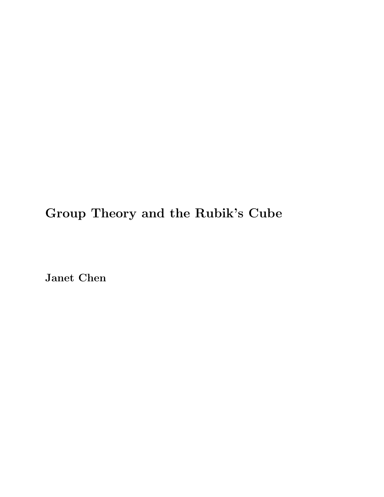Group Theory and the Rubik's Cube

Janet Chen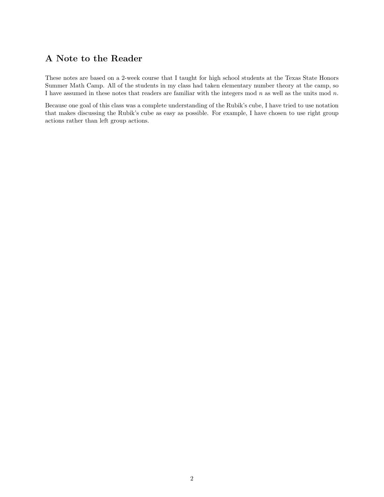# A Note to the Reader

These notes are based on a 2-week course that I taught for high school students at the Texas State Honors Summer Math Camp. All of the students in my class had taken elementary number theory at the camp, so I have assumed in these notes that readers are familiar with the integers mod  $n$  as well as the units mod  $n$ .

Because one goal of this class was a complete understanding of the Rubik's cube, I have tried to use notation that makes discussing the Rubik's cube as easy as possible. For example, I have chosen to use right group actions rather than left group actions.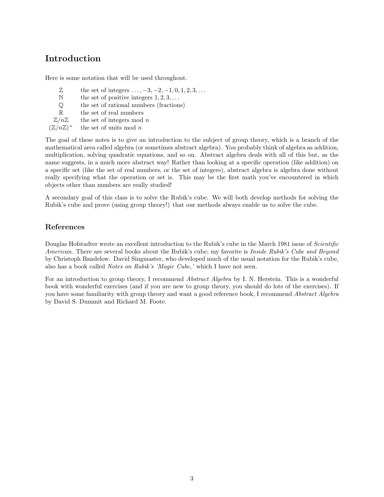# Introduction

Here is some notation that will be used throughout.

| $\mathbb{Z}$                        | the set of integers $\dots, -3, -2, -1, 0, 1, 2, 3, \dots$ |
|-------------------------------------|------------------------------------------------------------|
| N                                   | the set of positive integers $1, 2, 3, \ldots$             |
| $\mathbb U$                         | the set of rational numbers (fractions)                    |
| $\mathbb{R}$                        | the set of real numbers                                    |
| $\mathbb{Z}/n\mathbb{Z}$            | the set of integers mod $n$                                |
| $(\mathbb{Z}/n\mathbb{Z})^{\times}$ | the set of units mod $n$                                   |

The goal of these notes is to give an introduction to the subject of group theory, which is a branch of the mathematical area called algebra (or sometimes abstract algebra). You probably think of algebra as addition, multiplication, solving quadratic equations, and so on. Abstract algebra deals with all of this but, as the name suggests, in a much more abstract way! Rather than looking at a specific operation (like addition) on a specific set (like the set of real numbers, or the set of integers), abstract algebra is algebra done without really specifying what the operation or set is. This may be the first math you've encountered in which objects other than numbers are really studied!

A secondary goal of this class is to solve the Rubik's cube. We will both develop methods for solving the Rubik's cube and prove (using group theory!) that our methods always enable us to solve the cube.

## References

Douglas Hofstadter wrote an excellent introduction to the Rubik's cube in the March 1981 issue of Scientific American. There are several books about the Rubik's cube; my favorite is Inside Rubik's Cube and Beyond by Christoph Bandelow. David Singmaster, who developed much of the usual notation for the Rubik's cube, also has a book called Notes on Rubik's 'Magic Cube,' which I have not seen.

For an introduction to group theory, I recommend *Abstract Algebra* by I. N. Herstein. This is a wonderful book with wonderful exercises (and if you are new to group theory, you should do lots of the exercises). If you have some familiarity with group theory and want a good reference book, I recommend Abstract Algebra by David S. Dummit and Richard M. Foote.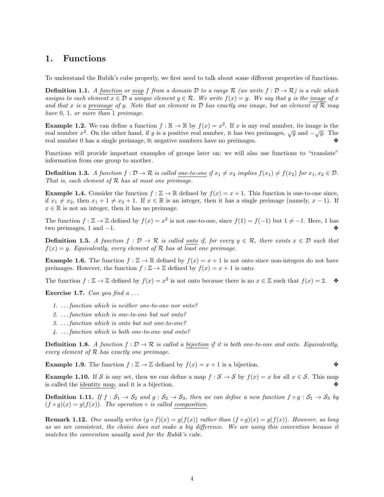## 1. Functions

To understand the Rubik's cube properly, we first need to talk about some different properties of functions.

**Definition 1.1.** A function or map f from a domain D to a range R (we write  $f : \mathcal{D} \to \mathcal{R}$ ) is a rule which assigns to each element  $x \in \mathcal{D}$  a unique element  $y \in \mathcal{R}$ . We write  $f(x) = y$ . We say that y is the image of x and that x is a preimage of y. Note that an element in  $\mathcal D$  has exactly one image, but an element of  $\mathcal R$  may have 0, 1, or more than 1 preimage.

**Example 1.2.** We can define a function  $f : \mathbb{R} \to \mathbb{R}$  by  $f(x) = x^2$ . If x is any real number, its image is the **Example 1.2.** We can define a function  $f: \mathbb{R} \to \mathbb{R}$  by  $f(x) = x$ . If x is any real number, its image is the real number  $x^2$ . On the other hand, if y is a positive real number, it has two preimages,  $\sqrt{y}$  and  $-\sqrt{$ real number 0 has a single preimage, 0; negative numbers have no preimages.

Functions will provide important examples of groups later on; we will also use functions to "translate" information from one group to another.

**Definition 1.3.** A function  $f: \mathcal{D} \to \mathcal{R}$  is called one-to-one if  $x_1 \neq x_2$  implies  $f(x_1) \neq f(x_2)$  for  $x_1, x_2 \in \mathcal{D}$ . That is, each element of  $R$  has at most one preimage.

**Example 1.4.** Consider the function  $f : \mathbb{Z} \to \mathbb{R}$  defined by  $f(x) = x + 1$ . This function is one-to-one since, if  $x_1 \neq x_2$ , then  $x_1 + 1 \neq x_2 + 1$ . If  $x \in \mathbb{R}$  is an integer, then it has a single preimage (namely,  $x - 1$ ). If  $x \in \mathbb{R}$  is not an integer, then it has no preimage.

The function  $f : \mathbb{Z} \to \mathbb{Z}$  defined by  $f(x) = x^2$  is not one-to-one, since  $f(1) = f(-1)$  but  $1 \neq -1$ . Here, 1 has two preimages, 1 and  $-1$ .

**Definition 1.5.** A function  $f: \mathcal{D} \to \mathcal{R}$  is called onto if, for every  $y \in \mathcal{R}$ , there exists  $x \in \mathcal{D}$  such that  $f(x) = y$ . Equivalently, every element of R has at least one preimage.

**Example 1.6.** The function  $f : \mathbb{Z} \to \mathbb{R}$  defined by  $f(x) = x + 1$  is not onto since non-integers do not have preimages. However, the function  $f : \mathbb{Z} \to \mathbb{Z}$  defined by  $f(x) = x + 1$  is onto.

The function  $f : \mathbb{Z} \to \mathbb{Z}$  defined by  $f(x) = x^2$  is not onto because there is no  $x \in \mathbb{Z}$  such that  $f(x) = 2$ .

Exercise 1.7. Can you find  $a \ldots$ 

- 1. ... function which is neither one-to-one nor onto?
- 2. . . . function which is one-to-one but not onto?
- 3. . . . function which is onto but not one-to-one?
- $\mathcal{A}$ .... function which is both one-to-one and onto?

**Definition 1.8.** A function  $f : \mathcal{D} \to \mathcal{R}$  is called a bijection if it is both one-to-one and onto. Equivalently, every element of  $R$  has exactly one preimage.

**Example 1.9.** The function  $f : \mathbb{Z} \to \mathbb{Z}$  defined by  $f(x) = x + 1$  is a bijection.

**Example 1.10.** If S is any set, then we can define a map  $f : S \to S$  by  $f(x) = x$  for all  $x \in S$ . This map is called the identity map, and it is a bijection.

**Definition 1.11.** If  $f : S_1 \to S_2$  and  $g : S_2 \to S_3$ , then we can define a new function  $f \circ g : S_1 \to S_3$  by  $(f \circ g)(x) = g(f(x))$ . The operation  $\circ$  is called composition.

**Remark 1.12.** One usually writes  $(g \circ f)(x) = g(f(x))$  rather than  $(f \circ g)(x) = g(f(x))$ . However, as long as we are consistent, the choice does not make a big difference. We are using this convention because it matches the convention usually used for the Rubik's cube.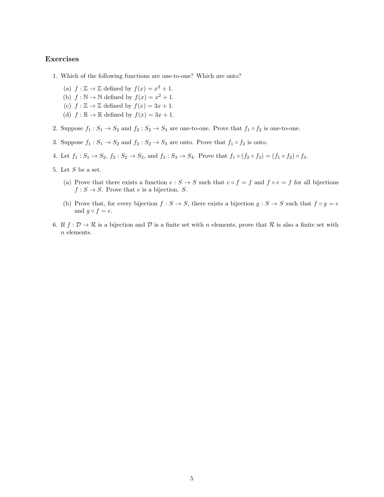## Exercises

- 1. Which of the following functions are one-to-one? Which are onto?
	- (a)  $f : \mathbb{Z} \to \mathbb{Z}$  defined by  $f(x) = x^2 + 1$ .
	- (b)  $f : \mathbb{N} \to \mathbb{N}$  defined by  $f(x) = x^2 + 1$ .
	- (c)  $f : \mathbb{Z} \to \mathbb{Z}$  defined by  $f(x) = 3x + 1$ .
	- (d)  $f : \mathbb{R} \to \mathbb{R}$  defined by  $f(x) = 3x + 1$ .
- 2. Suppose  $f_1 : S_1 \to S_2$  and  $f_2 : S_2 \to S_3$  are one-to-one. Prove that  $f_1 \circ f_2$  is one-to-one.
- 3. Suppose  $f_1 : S_1 \to S_2$  and  $f_2 : S_2 \to S_3$  are onto. Prove that  $f_1 \circ f_2$  is onto.
- 4. Let  $f_1: S_1 \to S_2$ ,  $f_2: S_2 \to S_3$ , and  $f_3: S_3 \to S_4$ . Prove that  $f_1 \circ (f_2 \circ f_3) = (f_1 \circ f_2) \circ f_3$ .
- 5. Let  $S$  be a set.
	- (a) Prove that there exists a function  $e : S \to S$  such that  $e \circ f = f$  and  $f \circ e = f$  for all bijections  $f: S \to S$ . Prove that e is a bijection. S.
	- (b) Prove that, for every bijection  $f : S \to S$ , there exists a bijection  $g : S \to S$  such that  $f \circ g = e$ and  $g \circ f = e$ .
- 6. If  $f: \mathcal{D} \to \mathcal{R}$  is a bijection and  $\mathcal{D}$  is a finite set with n elements, prove that  $\mathcal{R}$  is also a finite set with n elements.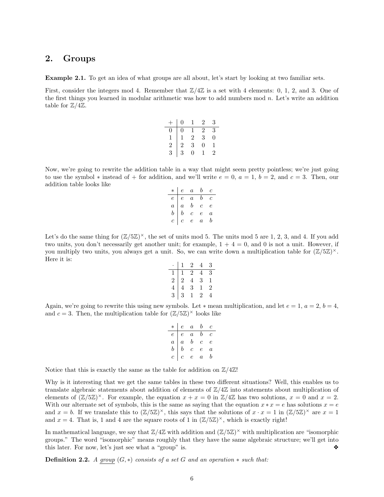## 2. Groups

<span id="page-5-0"></span>Example 2.1. To get an idea of what groups are all about, let's start by looking at two familiar sets.

First, consider the integers mod 4. Remember that  $\mathbb{Z}/4\mathbb{Z}$  is a set with 4 elements: 0, 1, 2, and 3. One of the first things you learned in modular arithmetic was how to add numbers mod  $n$ . Let's write an addition table for  $\mathbb{Z}/4\mathbb{Z}$ .

|                | 0                |                | 2              | 3 |
|----------------|------------------|----------------|----------------|---|
| 0              | 0                | ı              | $\overline{2}$ | 3 |
|                | 1                | $\overline{2}$ | 3              | 0 |
| $\overline{2}$ | $\boldsymbol{2}$ | 3              | 0              | 1 |
| 3              | 3                | 0              |                | 2 |

Now, we're going to rewrite the addition table in a way that might seem pretty pointless; we're just going to use the symbol  $*$  instead of  $+$  for addition, and we'll write  $e = 0$ ,  $a = 1$ ,  $b = 2$ , and  $c = 3$ . Then, our addition table looks like

|                  | $\epsilon$       | $\boldsymbol{a}$ | b                | $\overline{c}$ |
|------------------|------------------|------------------|------------------|----------------|
| $\boldsymbol{e}$ | $\boldsymbol{e}$ | $\overline{a}$   | b                | $\overline{c}$ |
| $\overline{a}$   | $\overline{a}$   | $\boldsymbol{b}$ | $\overline{c}$   | e              |
| $\bar{b}$        | $\boldsymbol{b}$ | $\overline{c}$   | e                | $\it a$        |
| $\overline{c}$   | $\overline{c}$   | e                | $\boldsymbol{a}$ | b              |

Let's do the same thing for  $(\mathbb{Z}/5\mathbb{Z})^{\times}$ , the set of units mod 5. The units mod 5 are 1, 2, 3, and 4. If you add two units, you don't necessarily get another unit; for example,  $1 + 4 = 0$ , and 0 is not a unit. However, if you multiply two units, you always get a unit. So, we can write down a multiplication table for  $(\mathbb{Z}/5\mathbb{Z})^{\times}$ . Here it is:

|               | 1              | 2              | 4 | 3              |
|---------------|----------------|----------------|---|----------------|
|               | $\frac{1}{2}$  | $\overline{2}$ | 4 | 3              |
| $\frac{1}{2}$ |                | 4              | 3 | 1              |
| $\frac{4}{3}$ | $\overline{4}$ | 3              |   | $\overline{2}$ |
|               | 3              |                | 2 |                |

Again, we're going to rewrite this using new symbols. Let  $*$  mean multiplication, and let  $e = 1$ ,  $a = 2$ ,  $b = 4$ , and  $c = 3$ . Then, the multiplication table for  $(\mathbb{Z}/5\mathbb{Z})^{\times}$  looks like

|                  | $\boldsymbol{e}$ | $\overline{a}$ | b              | $\overline{c}$   |
|------------------|------------------|----------------|----------------|------------------|
| $\boldsymbol{e}$ | e                | $\overline{a}$ | b              | Ċ                |
| $\overline{a}$   | $\overline{a}$   | b              | $\overline{c}$ | е                |
| $\boldsymbol{b}$ | b                | $\overline{c}$ | $\epsilon$     | $\boldsymbol{a}$ |
| $\overline{c}$   | $\overline{c}$   | $\,e\,$        | $\overline{a}$ | b                |

Notice that this is exactly the same as the table for addition on  $\mathbb{Z}/4\mathbb{Z}!$ 

Why is it interesting that we get the same tables in these two different situations? Well, this enables us to translate algebraic statements about addition of elements of Z/4Z into statements about multiplication of elements of  $(\mathbb{Z}/5\mathbb{Z})^{\times}$ . For example, the equation  $x + x = 0$  in  $\mathbb{Z}/4\mathbb{Z}$  has two solutions,  $x = 0$  and  $x = 2$ . With our alternate set of symbols, this is the same as saying that the equation  $x \cdot x = e$  has solutions  $x = e$ and  $x = b$ . If we translate this to  $(\mathbb{Z}/5\mathbb{Z})^{\times}$ , this says that the solutions of  $x \cdot x = 1$  in  $(\mathbb{Z}/5\mathbb{Z})^{\times}$  are  $x = 1$ and  $x = 4$ . That is, 1 and 4 are the square roots of 1 in  $(\mathbb{Z}/5\mathbb{Z})^{\times}$ , which is exactly right!

In mathematical language, we say that  $\mathbb{Z}/4\mathbb{Z}$  with addition and  $(\mathbb{Z}/5\mathbb{Z})^{\times}$  with multiplication are "isomorphic groups." The word "isomorphic" means roughly that they have the same algebraic structure; we'll get into this later. For now, let's just see what a "group" is.  $\diamondsuit$ 

**Definition 2.2.** A group  $(G, *)$  consists of a set G and an operation  $*$  such that: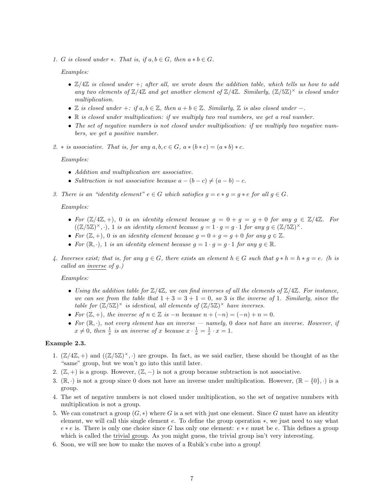1. G is closed under  $\ast$ . That is, if  $a, b \in G$ , then  $a \ast b \in G$ .

#### Examples:

- $\mathbb{Z}/4\mathbb{Z}$  is closed under  $+$ ; after all, we wrote down the addition table, which tells us how to add any two elements of  $\mathbb{Z}/4\mathbb{Z}$  and get another element of  $\mathbb{Z}/4\mathbb{Z}$ . Similarly,  $(\mathbb{Z}/5\mathbb{Z})^{\times}$  is closed under multiplication.
- Z is closed under +: if  $a, b \in \mathbb{Z}$ , then  $a + b \in \mathbb{Z}$ . Similarly, Z is also closed under  $-$ .
- $\mathbb R$  is closed under multiplication: if we multiply two real numbers, we get a real number.
- The set of negative numbers is not closed under multiplication: if we multiply two negative numbers, we get a positive number.
- 2. \* is associative. That is, for any  $a, b, c \in G$ ,  $a * (b * c) = (a * b) * c$ .

#### Examples:

- Addition and multiplication are associative.
- Subtraction is not associative because  $a (b c) \neq (a b) c$ .
- 3. There is an "identity element"  $e \in G$  which satisfies  $g = e * g = g * e$  for all  $g \in G$ .

#### Examples:

- For  $(\mathbb{Z}/4\mathbb{Z}, +)$ , 0 is an identity element because  $g = 0 + g = g + 0$  for any  $g \in \mathbb{Z}/4\mathbb{Z}$ . For  $((\mathbb{Z}/5\mathbb{Z})^{\times}, \cdot),$  1 is an identity element because  $g = 1 \cdot g = g \cdot 1$  for any  $g \in (\mathbb{Z}/5\mathbb{Z})^{\times}$ .
- For  $(\mathbb{Z}, +)$ , 0 is an identity element because  $g = 0 + g = g + 0$  for any  $g \in \mathbb{Z}$ .
- For  $(\mathbb{R}, \cdot)$ , 1 is an identity element because  $g = 1 \cdot g = g \cdot 1$  for any  $g \in \mathbb{R}$ .
- 4. Inverses exist; that is, for any  $g \in G$ , there exists an element  $h \in G$  such that  $g * h = h * g = e$ . (h is called an inverse of g.)

#### Examples:

- Using the addition table for  $\mathbb{Z}/4\mathbb{Z}$ , we can find inverses of all the elements of  $\mathbb{Z}/4\mathbb{Z}$ . For instance, we can see from the table that  $1+3=3+1=0$ , so 3 is the inverse of 1. Similarly, since the table for  $(\mathbb{Z}/5\mathbb{Z})^{\times}$  is identical, all elements of  $(\mathbb{Z}/5\mathbb{Z})^{\times}$  have inverses.
- For  $(\mathbb{Z}, +)$ , the inverse of  $n \in \mathbb{Z}$  is  $-n$  because  $n + (-n) = (-n) + n = 0$ .
- For  $(\mathbb{R}, \cdot)$ , not every element has an inverse namely, 0 does not have an inverse. However, if  $x \neq 0$ , then  $\frac{1}{x}$  is an inverse of x because  $x \cdot \frac{1}{x} = \frac{1}{x} \cdot x = 1$ .

#### Example 2.3.

- 1.  $(\mathbb{Z}/4\mathbb{Z}, +)$  and  $((\mathbb{Z}/5\mathbb{Z})^{\times}, \cdot)$  are groups. In fact, as we said earlier, these should be thought of as the "same" group, but we won't go into this until later.
- 2.  $(\mathbb{Z}, +)$  is a group. However,  $(\mathbb{Z}, -)$  is not a group because subtraction is not associative.
- 3. ( $\mathbb{R}, \cdot$ ) is not a group since 0 does not have an inverse under multiplication. However,  $(\mathbb{R} \{0\}, \cdot)$  is a group.
- 4. The set of negative numbers is not closed under multiplication, so the set of negative numbers with multiplication is not a group.
- 5. We can construct a group  $(G, *)$  where G is a set with just one element. Since G must have an identity element, we will call this single element e. To define the group operation ∗, we just need to say what e ∗ e is. There is only one choice since G has only one element: e ∗ e must be e. This defines a group which is called the trivial group. As you might guess, the trivial group isn't very interesting.
- 6. Soon, we will see how to make the moves of a Rubik's cube into a group!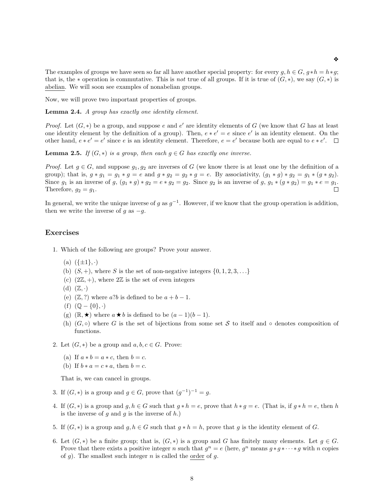Now, we will prove two important properties of groups.

Lemma 2.4. A group has exactly one identity element.

*Proof.* Let  $(G, *)$  be a group, and suppose e and e' are identity elements of G (we know that G has at least one identity element by the definition of a group). Then,  $e * e' = e$  since  $e'$  is an identity element. On the other hand,  $e * e' = e'$  since e is an identity element. Therefore,  $e = e'$  because both are equal to  $e * e'$ .

**Lemma 2.5.** If  $(G, *)$  is a group, then each  $q \in G$  has exactly one inverse.

*Proof.* Let  $g \in G$ , and suppose  $g_1, g_2$  are inverses of G (we know there is at least one by the definition of a group); that is,  $g * g_1 = g_1 * g = e$  and  $g * g_2 = g_2 * g = e$ . By associativity,  $(g_1 * g) * g_2 = g_1 * (g * g_2)$ . Since  $g_1$  is an inverse of  $g$ ,  $(g_1 * g) * g_2 = e * g_2 = g_2$ . Since  $g_2$  is an inverse of  $g$ ,  $g_1 * (g * g_2) = g_1 * e = g_1$ . Therefore,  $g_2 = g_1$ .  $\Box$ 

In general, we write the unique inverse of g as  $g^{-1}$ . However, if we know that the group operation is addition, then we write the inverse of g as  $-g$ .

### Exercises

- <span id="page-7-1"></span>1. Which of the following are groups? Prove your answer.
	- (a)  $({\pm 1},.)$
	- (b)  $(S, +)$ , where S is the set of non-negative integers  $\{0, 1, 2, 3, \ldots\}$
	- (c)  $(2\mathbb{Z}, +)$ , where  $2\mathbb{Z}$  is the set of even integers
	- (d)  $(\mathbb{Z}, \cdot)$
	- (e)  $(\mathbb{Z}, ?)$  where a?b is defined to be  $a + b 1$ .
	- (f)  $(Q \{0\}, \cdot)$
	- (g)  $(\mathbb{R}, \star)$  where  $a \star b$  is defined to be  $(a-1)(b-1)$ .
	- (h)  $(G, \circ)$  where G is the set of bijections from some set S to itself and  $\circ$  denotes composition of functions.
- <span id="page-7-3"></span>2. Let  $(G, *)$  be a group and  $a, b, c \in G$ . Prove:
	- (a) If  $a * b = a * c$ , then  $b = c$ .
	- (b) If  $b * a = c * a$ , then  $b = c$ .

That is, we can cancel in groups.

- 3. If  $(G, *)$  is a group and  $g \in G$ , prove that  $(g^{-1})^{-1} = g$ .
- <span id="page-7-2"></span>4. If  $(G, *)$  is a group and  $g, h \in G$  such that  $g * h = e$ , prove that  $h * g = e$ . (That is, if  $g * h = e$ , then h is the inverse of g and g is the inverse of  $h$ .)
- 5. If  $(G, *)$  is a group and  $g, h \in G$  such that  $g * h = h$ , prove that g is the identity element of G.
- <span id="page-7-0"></span>6. Let  $(G, *)$  be a finite group; that is,  $(G, *)$  is a group and G has finitely many elements. Let  $g \in G$ . Prove that there exists a positive integer n such that  $g^n = e$  (here,  $g^n$  means  $g * g * \cdots * g$  with n copies of  $q$ ). The smallest such integer  $n$  is called the order of  $q$ .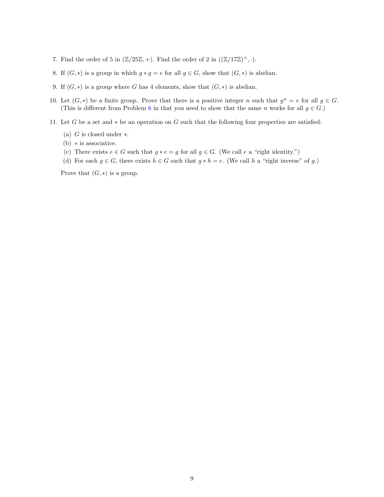- 7. Find the order of 5 in  $(\mathbb{Z}/25\mathbb{Z}, +)$ . Find the order of 2 in  $((\mathbb{Z}/17\mathbb{Z})^{\times}, \cdot)$ .
- 8. If  $(G, *)$  is a group in which  $g * g = e$  for all  $g \in G$ , show that  $(G, *)$  is abelian.
- 9. If  $(G, *)$  is a group where G has 4 elements, show that  $(G, *)$  is abelian.
- 10. Let  $(G, *)$  be a finite group. Prove that there is a positive integer n such that  $g^n = e$  for all  $g \in G$ . (This is different from Problem [6](#page-7-0) in that you need to show that the same n works for all  $g \in G$ .)
- <span id="page-8-0"></span>11. Let G be a set and ∗ be an operation on G such that the following four properties are satisfied:
	- (a)  $G$  is closed under  $*$ .
	- (b) ∗ is associative.
	- (c) There exists  $e \in G$  such that  $g * e = g$  for all  $g \in G$ . (We call e a "right identity.")
	- (d) For each  $g \in G$ , there exists  $h \in G$  such that  $g * h = e$ . (We call h a "right inverse" of g.)

Prove that  $(G, *)$  is a group.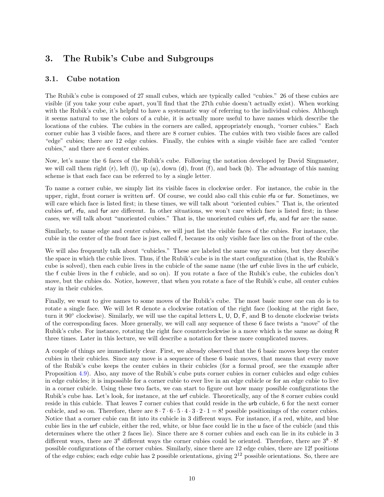# 3. The Rubik's Cube and Subgroups

## 3.1. Cube notation

The Rubik's cube is composed of 27 small cubes, which are typically called "cubies." 26 of these cubies are visible (if you take your cube apart, you'll find that the 27th cubie doesn't actually exist). When working with the Rubik's cube, it's helpful to have a systematic way of referring to the individual cubies. Although it seems natural to use the colors of a cubie, it is actually more useful to have names which describe the locations of the cubies. The cubies in the corners are called, appropriately enough, "corner cubies." Each corner cubie has 3 visible faces, and there are 8 corner cubies. The cubies with two visible faces are called "edge" cubies; there are 12 edge cubies. Finally, the cubies with a single visible face are called "center cubies," and there are 6 center cubies.

Now, let's name the 6 faces of the Rubik's cube. Following the notation developed by David Singmaster, we will call them right  $(r)$ , left  $(l)$ , up  $(u)$ , down  $(d)$ , front  $(f)$ , and back  $(b)$ . The advantage of this naming scheme is that each face can be referred to by a single letter.

To name a corner cubie, we simply list its visible faces in clockwise order. For instance, the cubie in the upper, right, front corner is written urf. Of course, we could also call this cubie rfu or fur. Sometimes, we will care which face is listed first; in these times, we will talk about "oriented cubies." That is, the oriented cubies urf, rfu, and fur are different. In other situations, we won't care which face is listed first; in these cases, we will talk about "unoriented cubies." That is, the unoriented cubies urf, rfu, and fur are the same.

Similarly, to name edge and center cubies, we will just list the visible faces of the cubies. For instance, the cubie in the center of the front face is just called f, because its only visible face lies on the front of the cube.

We will also frequently talk about "cubicles." These are labeled the same way as cubies, but they describe the space in which the cubie lives. Thus, if the Rubik's cube is in the start configuration (that is, the Rubik's cube is solved), then each cubie lives in the cubicle of the same name (the urf cubie lives in the urf cubicle, the f cubie lives in the f cubicle, and so on). If you rotate a face of the Rubik's cube, the cubicles don't move, but the cubies do. Notice, however, that when you rotate a face of the Rubik's cube, all center cubies stay in their cubicles.

Finally, we want to give names to some moves of the Rubik's cube. The most basic move one can do is to rotate a single face. We will let R denote a clockwise rotation of the right face (looking at the right face, turn it 90° clockwise). Similarly, we will use the capital letters L, U, D, F, and B to denote clockwise twists of the corresponding faces. More generally, we will call any sequence of these 6 face twists a "move" of the Rubik's cube. For instance, rotating the right face counterclockwise is a move which is the same as doing R three times. Later in this lecture, we will describe a notation for these more complicated moves.

A couple of things are immediately clear. First, we already observed that the 6 basic moves keep the center cubies in their cubicles. Since any move is a sequence of these 6 basic moves, that means that every move of the Rubik's cube keeps the center cubies in their cubicles (for a formal proof, see the example after Proposition [4.9\)](#page-14-0). Also, any move of the Rubik's cube puts corner cubies in corner cubicles and edge cubies in edge cubicles; it is impossible for a corner cubie to ever live in an edge cubicle or for an edge cubie to live in a corner cubicle. Using these two facts, we can start to figure out how many possible configurations the Rubik's cube has. Let's look, for instance, at the urf cubicle. Theoretically, any of the 8 corner cubies could reside in this cubicle. That leaves 7 corner cubies that could reside in the urb cubicle, 6 for the next corner cubicle, and so on. Therefore, there are  $8 \cdot 7 \cdot 6 \cdot 5 \cdot 4 \cdot 3 \cdot 2 \cdot 1 = 8!$  possible positionings of the corner cubies. Notice that a corner cubie can fit into its cubicle in 3 different ways. For instance, if a red, white, and blue cubie lies in the urf cubicle, either the red, white, or blue face could lie in the u face of the cubicle (and this determines where the other 2 faces lie). Since there are 8 corner cubies and each can lie in its cubicle in 3 different ways, there are  $3^8$  different ways the corner cubies could be oriented. Therefore, there are  $3^8 \cdot 8!$ possible configurations of the corner cubies. Similarly, since there are 12 edge cubies, there are 12! positions of the edge cubies; each edge cubie has 2 possible orientations, giving  $2^{12}$  possible orientations. So, there are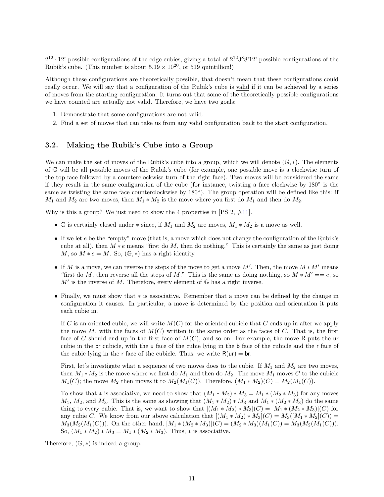$2^{12} \cdot 12!$  possible configurations of the edge cubies, giving a total of  $2^{12}3^88!12!$  possible configurations of the Rubik's cube. (This number is about  $5.19 \times 10^{20}$ , or 519 quintillion!)

Although these configurations are theoretically possible, that doesn't mean that these configurations could really occur. We will say that a configuration of the Rubik's cube is valid if it can be achieved by a series of moves from the starting configuration. It turns out that some of the theoretically possible configurations we have counted are actually not valid. Therefore, we have two goals:

- 1. Demonstrate that some configurations are not valid.
- 2. Find a set of moves that can take us from any valid configuration back to the start configuration.

### 3.2. Making the Rubik's Cube into a Group

We can make the set of moves of the Rubik's cube into a group, which we will denote  $(\mathbb{G}, *)$ . The elements of G will be all possible moves of the Rubik's cube (for example, one possible move is a clockwise turn of the top face followed by a counterclockwise turn of the right face). Two moves will be considered the same if they result in the same configuration of the cube (for instance, twisting a face clockwise by 180◦ is the same as twisting the same face counterclockwise by 180<sup>°</sup>). The group operation will be defined like this: if  $M_1$  and  $M_2$  are two moves, then  $M_1 * M_2$  is the move where you first do  $M_1$  and then do  $M_2$ .

Why is this a group? We just need to show the 4 properties in [PS  $2, \#11$ ].

- G is certainly closed under  $*$  since, if  $M_1$  and  $M_2$  are moves,  $M_1 * M_2$  is a move as well.
- If we let e be the "empty" move (that is, a move which does not change the configuration of the Rubik's cube at all), then  $M * e$  means "first do  $M$ , then do nothing." This is certainly the same as just doing M, so  $M * e = M$ . So,  $(\mathbb{G}, *)$  has a right identity.
- If M is a move, we can reverse the steps of the move to get a move  $M'$ . Then, the move  $M * M'$  means "first do M, then reverse all the steps of M." This is the same as doing nothing, so  $M * M' = e$ , so  $M'$  is the inverse of M. Therefore, every element of  $\mathbb G$  has a right inverse.
- Finally, we must show that ∗ is associative. Remember that a move can be defined by the change in configuration it causes. In particular, a move is determined by the position and orientation it puts each cubie in.

If C is an oriented cubie, we will write  $M(C)$  for the oriented cubicle that C ends up in after we apply the move M, with the faces of  $M(C)$  written in the same order as the faces of C. That is, the first face of C should end up in the first face of  $M(C)$ , and so on. For example, the move R puts the ur cubie in the br cubicle, with the u face of the cubie lying in the b face of the cubicle and the r face of the cubie lying in the r face of the cubicle. Thus, we write  $R(ur) = br$ .

First, let's investigate what a sequence of two moves does to the cubie. If  $M_1$  and  $M_2$  are two moves, then  $M_1 * M_2$  is the move where we first do  $M_1$  and then do  $M_2$ . The move  $M_1$  moves C to the cubicle  $M_1(C)$ ; the move  $M_2$  then moves it to  $M_2(M_1(C))$ . Therefore,  $(M_1 * M_2)(C) = M_2(M_1(C))$ .

To show that \* is associative, we need to show that  $(M_1 * M_2) * M_3 = M_1 * (M_2 * M_3)$  for any moves  $M_1, M_2$ , and  $M_3$ . This is the same as showing that  $(M_1 * M_2) * M_3$  and  $M_1 * (M_2 * M_3)$  do the same thing to every cubie. That is, we want to show that  $[(M_1 * M_2) * M_3](C) = [M_1 * (M_2 * M_3)](C)$  for any cubie C. We know from our above calculation that  $[(M_1 * M_2) * M_3](C) = M_3([M_1 * M_2](C))$  $M_3(M_2(M_1(C)))$ . On the other hand,  $[M_1 * (M_2 * M_3)](C) = (M_2 * M_3)(M_1(C)) = M_3(M_2(M_1(C)))$ . So,  $(M_1 * M_2) * M_3 = M_1 * (M_2 * M_3)$ . Thus,  $*$  is associative.

Therefore,  $(\mathbb{G},*)$  is indeed a group.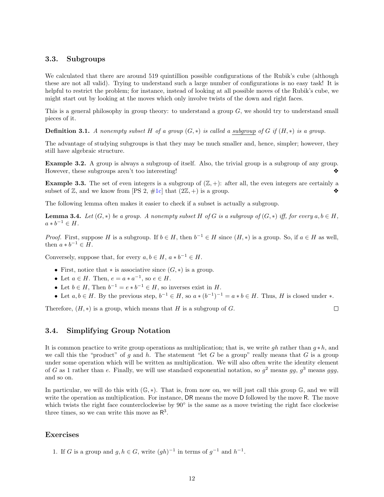## 3.3. Subgroups

We calculated that there are around 519 quintillion possible configurations of the Rubik's cube (although these are not all valid). Trying to understand such a large number of configurations is no easy task! It is helpful to restrict the problem; for instance, instead of looking at all possible moves of the Rubik's cube, we might start out by looking at the moves which only involve twists of the down and right faces.

This is a general philosophy in group theory: to understand a group  $G$ , we should try to understand small pieces of it.

**Definition 3.1.** A nonempty subset H of a group  $(G, *)$  is called a subgroup of G if  $(H, *)$  is a group.

The advantage of studying subgroups is that they may be much smaller and, hence, simpler; however, they still have algebraic structure.

Example 3.2. A group is always a subgroup of itself. Also, the trivial group is a subgroup of any group. However, these subgroups aren't too interesting! ❖

**Example 3.3.** The set of even integers is a subgroup of  $(\mathbb{Z}, +)$ : after all, the even integers are certainly a subset of Z, and we know from [PS 2,  $\#1c$ ] that  $(2\mathbb{Z}, +)$  is a group.

The following lemma often makes it easier to check if a subset is actually a subgroup.

<span id="page-11-0"></span>**Lemma 3.4.** Let  $(G, *)$  be a group. A nonempty subset H of G is a subgroup of  $(G, *)$  iff, for every  $a, b \in H$ ,  $a * b^{-1} \in H$ .

*Proof.* First, suppose H is a subgroup. If  $b \in H$ , then  $b^{-1} \in H$  since  $(H, *)$  is a group. So, if  $a \in H$  as well, then  $a * b^{-1} \in H$ .

Conversely, suppose that, for every  $a, b \in H$ ,  $a * b^{-1} \in H$ .

- First, notice that  $*$  is associative since  $(G, *)$  is a group.
- Let  $a \in H$ . Then,  $e = a * a^{-1}$ , so  $e \in H$ .
- Let  $b \in H$ , Then  $b^{-1} = e * b^{-1} \in H$ , so inverses exist in H.
- Let  $a, b \in H$ . By the previous step,  $b^{-1} \in H$ , so  $a * (b^{-1})^{-1} = a * b \in H$ . Thus, H is closed under  $*$ .

Therefore,  $(H, *)$  is a group, which means that H is a subgroup of G.

 $\Box$ 

### 3.4. Simplifying Group Notation

It is common practice to write group operations as multiplication; that is, we write  $qh$  rather than  $q * h$ , and we call this the "product" of g and h. The statement "let G be a group" really means that G is a group under some operation which will be written as multiplication. We will also often write the identity element of G as 1 rather than e. Finally, we will use standard exponential notation, so  $g^2$  means gg,  $g^3$  means ggg, and so on.

In particular, we will do this with  $(\mathbb{G}, *)$ . That is, from now on, we will just call this group  $\mathbb{G}$ , and we will write the operation as multiplication. For instance, DR means the move D followed by the move R. The move which twists the right face counterclockwise by  $90^{\circ}$  is the same as a move twisting the right face clockwise three times, so we can write this move as  $R<sup>3</sup>$ .

### Exercises

1. If G is a group and  $g, h \in G$ , write  $(gh)^{-1}$  in terms of  $g^{-1}$  and  $h^{-1}$ .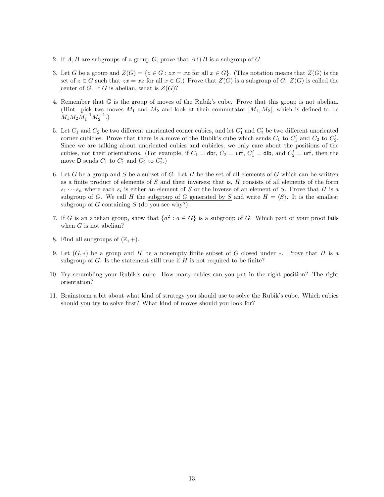- 2. If A, B are subgroups of a group G, prove that  $A \cap B$  is a subgroup of G.
- 3. Let G be a group and  $Z(G) = \{z \in G : zx = xz \text{ for all } x \in G\}$ . (This notation means that  $Z(G)$  is the set of  $z \in G$  such that  $zx = xz$  for all  $x \in G$ .) Prove that  $Z(G)$  is a subgroup of G.  $Z(G)$  is called the center of G. If G is abelian, what is  $Z(G)$ ?
- 4. Remember that G is the group of moves of the Rubik's cube. Prove that this group is not abelian. (Hint: pick two moves  $M_1$  and  $M_2$  and look at their commutator  $[M_1, M_2]$ , which is defined to be  $M_1M_2M_1^{-1}M_2^{-1}$ .)
- <span id="page-12-1"></span>5. Let  $C_1$  and  $C_2$  be two different unoriented corner cubies, and let  $C'_1$  and  $C'_2$  be two different unoriented corner cubicles. Prove that there is a move of the Rubik's cube which sends  $C_1$  to  $C'_1$  and  $C_2$  to  $C'_2$ . Since we are talking about unoriented cubies and cubicles, we only care about the positions of the cubies, not their orientations. (For example, if  $C_1 =$  dbr,  $C_2 =$  urf,  $C'_1 =$  dlb, and  $C'_2 =$  urf, then the move D sends  $C_1$  to  $C'_1$  and  $C_2$  to  $C'_2$ .)
- <span id="page-12-0"></span>6. Let G be a group and S be a subset of G. Let H be the set of all elements of G which can be written as a finite product of elements of  $S$  and their inverses; that is,  $H$  consists of all elements of the form  $s_1 \cdots s_n$  where each  $s_i$  is either an element of S or the inverse of an element of S. Prove that H is a subgroup of G. We call H the subgroup of G generated by S and write  $H = \langle S \rangle$ . It is the smallest subgroup of G containing  $S$  (do you see why?).
- 7. If G is an abelian group, show that  $\{a^2 : a \in G\}$  is a subgroup of G. Which part of your proof fails when  $G$  is not abelian?
- 8. Find all subgroups of  $(\mathbb{Z}, +)$ .
- 9. Let  $(G, *)$  be a group and H be a nonempty finite subset of G closed under  $*$ . Prove that H is a subgroup of  $G$ . Is the statement still true if  $H$  is not required to be finite?
- 10. Try scrambling your Rubik's cube. How many cubies can you put in the right position? The right orientation?
- 11. Brainstorm a bit about what kind of strategy you should use to solve the Rubik's cube. Which cubies should you try to solve first? What kind of moves should you look for?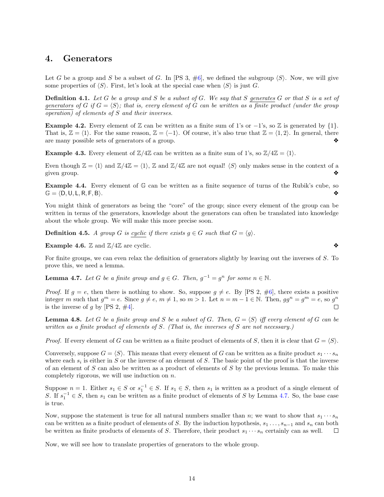## 4. Generators

Let G be a group and S be a subset of G. In [PS 3,  $\#6$ ], we defined the subgroup  $\langle S \rangle$ . Now, we will give some properties of  $\langle S \rangle$ . First, let's look at the special case when  $\langle S \rangle$  is just G.

**Definition 4.1.** Let G be a group and S be a subset of G. We say that S generates G or that S is a set of generators of G if  $G = \langle S \rangle$ ; that is, every element of G can be written as a finite product (under the group operation) of elements of S and their inverses.

**Example 4.2.** Every element of Z can be written as a finite sum of 1's or  $-1$ 's, so Z is generated by  $\{1\}$ . That is,  $\mathbb{Z} = \langle 1 \rangle$ . For the same reason,  $\mathbb{Z} = \langle -1 \rangle$ . Of course, it's also true that  $\mathbb{Z} = \langle 1, 2 \rangle$ . In general, there are many possible sets of generators of a group.  $\diamondsuit$ 

**Example 4.3.** Every element of  $\mathbb{Z}/4\mathbb{Z}$  can be written as a finite sum of 1's, so  $\mathbb{Z}/4\mathbb{Z} = \langle 1 \rangle$ .

Even though  $\mathbb{Z} = \langle 1 \rangle$  and  $\mathbb{Z}/4\mathbb{Z} = \langle 1 \rangle$ , Z and  $\mathbb{Z}/4\mathbb{Z}$  are not equal!  $\langle S \rangle$  only makes sense in the context of a given group.  $\bullet$ 

**Example 4.4.** Every element of  $\mathbb{G}$  can be written as a finite sequence of turns of the Rubik's cube, so  $\mathbb{G} = \langle D, U, L, R, F, B \rangle.$   $\diamondsuit$ 

You might think of generators as being the "core" of the group; since every element of the group can be written in terms of the generators, knowledge about the generators can often be translated into knowledge about the whole group. We will make this more precise soon.

**Definition 4.5.** A group G is cyclic if there exists  $g \in G$  such that  $G = \langle g \rangle$ .

Example 4.6.  $\mathbb Z$  and  $\mathbb Z/4\mathbb Z$  are cyclic.  $\diamondsuit$ 

For finite groups, we can even relax the definition of generators slightly by leaving out the inverses of S. To prove this, we need a lemma.

<span id="page-13-0"></span>**Lemma 4.7.** Let G be a finite group and  $g \in G$ . Then,  $g^{-1} = g^n$  for some  $n \in \mathbb{N}$ .

*Proof.* If  $g = e$ , then there is nothing to show. So, suppose  $g \neq e$ . By [PS 2, [#6\]](#page-7-0), there exists a positive integer m such that  $g^m = e$ . Since  $g \neq e, m \neq 1$ , so  $m > 1$ . Let  $n = m - 1 \in \mathbb{N}$ . Then,  $gg^n = g^m = e$ , so  $g^n$ is the inverse of g by [PS 2,  $\#4$ ].  $\Box$ 

<span id="page-13-1"></span>**Lemma 4.8.** Let G be a finite group and S be a subset of G. Then,  $G = \langle S \rangle$  iff every element of G can be written as a finite product of elements of S. (That is, the inverses of S are not necessary.)

*Proof.* If every element of G can be written as a finite product of elements of S, then it is clear that  $G = \langle S \rangle$ .

Conversely, suppose  $G = \langle S \rangle$ . This means that every element of G can be written as a finite product  $s_1 \cdots s_n$ where each  $s_i$  is either in S or the inverse of an element of S. The basic point of the proof is that the inverse of an element of S can also be written as a product of elements of S by the previous lemma. To make this completely rigorous, we will use induction on  $n$ .

Suppose  $n = 1$ . Either  $s_1 \in S$  or  $s_1^{-1} \in S$ . If  $s_1 \in S$ , then  $s_1$  is written as a product of a single element of S. If  $s_1^{-1} \in S$ , then  $s_1$  can be written as a finite product of elements of S by Lemma [4.7.](#page-13-0) So, the base case is true.

Now, suppose the statement is true for all natural numbers smaller than n; we want to show that  $s_1 \cdots s_n$ can be written as a finite product of elements of S. By the induction hypothesis,  $s_1, \ldots, s_{n-1}$  and  $s_n$  can both be written as finite products of elements of S. Therefore, their product  $s_1 \cdots s_n$  certainly can as well.  $\Box$ 

Now, we will see how to translate properties of generators to the whole group.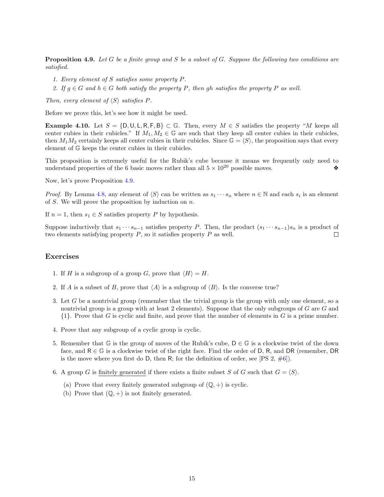<span id="page-14-0"></span>**Proposition 4.9.** Let G be a finite group and S be a subset of G. Suppose the following two conditions are satisfied.

- 1. Every element of S satisfies some property P.
- 2. If  $g \in G$  and  $h \in G$  both satisfy the property P, then gh satisfies the property P as well.

Then, every element of  $\langle S \rangle$  satisfies P.

Before we prove this, let's see how it might be used.

Example 4.10. Let  $S = \{D, U, L, R, F, B\} \subset \mathbb{G}$ . Then, every  $M \in S$  satisfies the property "M keeps all center cubies in their cubicles." If  $M_1, M_2 \in \mathbb{G}$  are such that they keep all center cubies in their cubicles, then  $M_1M_2$  certainly keeps all center cubies in their cubicles. Since  $\mathbb{G} = \langle S \rangle$ , the proposition says that every element of G keeps the center cubies in their cubicles.

This proposition is extremely useful for the Rubik's cube because it means we frequently only need to understand properties of the 6 basic moves rather than all  $5 \times 10^{20}$  possible moves.

Now, let's prove Proposition [4.9.](#page-14-0)

*Proof.* By Lemma [4.8,](#page-13-1) any element of  $\langle S \rangle$  can be written as  $s_1 \cdots s_n$  where  $n \in \mathbb{N}$  and each  $s_i$  is an element of  $S$ . We will prove the proposition by induction on  $n$ .

If  $n = 1$ , then  $s_1 \in S$  satisfies property P by hypothesis.

Suppose inductively that  $s_1 \cdots s_{n-1}$  satisfies property P. Then, the product  $(s_1 \cdots s_{n-1})s_n$  is a product of two elements satisfying property  $P$ , so it satisfies property  $P$  as well. П

#### <span id="page-14-2"></span>Exercises

- 1. If H is a subgroup of a group G, prove that  $\langle H \rangle = H$ .
- <span id="page-14-1"></span>2. If A is a subset of B, prove that  $\langle A \rangle$  is a subgroup of  $\langle B \rangle$ . Is the converse true?
- 3. Let G be a nontrivial group (remember that the trivial group is the group with only one element, so a nontrivial group is a group with at least 2 elements). Suppose that the only subgroups of G are G and  $\{1\}$ . Prove that G is cyclic and finite, and prove that the number of elements in G is a prime number.
- 4. Prove that any subgroup of a cyclic group is cyclic.
- 5. Remember that  $\mathbb G$  is the group of moves of the Rubik's cube,  $D \in \mathbb G$  is a clockwise twist of the down face, and  $R \in \mathbb{G}$  is a clockwise twist of the right face. Find the order of D, R, and DR (remember, DR is the move where you first do D, then R; for the definition of order, see [PS 2,  $\#6$ ].
- 6. A group G is finitely generated if there exists a finite subset S of G such that  $G = \langle S \rangle$ .
	- (a) Prove that every finitely generated subgroup of  $(\mathbb{Q}, +)$  is cyclic.
	- (b) Prove that  $(\mathbb{Q}, +)$  is not finitely generated.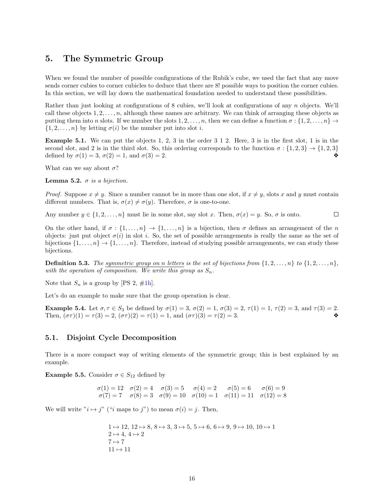## 5. The Symmetric Group

When we found the number of possible configurations of the Rubik's cube, we used the fact that any move sends corner cubies to corner cubicles to deduce that there are 8! possible ways to position the corner cubies. In this section, we will lay down the mathematical foundation needed to understand these possibilities.

Rather than just looking at configurations of 8 cubies, we'll look at configurations of any n objects. We'll call these objects  $1, 2, \ldots, n$ , although these names are arbitrary. We can think of arranging these objects as putting them into n slots. If we number the slots  $1, 2, \ldots, n$ , then we can define a function  $\sigma : \{1, 2, \ldots, n\} \rightarrow$  $\{1, 2, \ldots, n\}$  by letting  $\sigma(i)$  be the number put into slot i.

Example 5.1. We can put the objects 1, 2, 3 in the order 3 1 2. Here, 3 is in the first slot, 1 is in the second slot, and 2 is in the third slot. So, this ordering corresponds to the function  $\sigma : \{1, 2, 3\} \rightarrow \{1, 2, 3\}$ defined by  $\sigma(1) = 3$ ,  $\sigma(2) = 1$ , and  $\sigma(3) = 2$ .

What can we say about  $\sigma$ ?

Lemma 5.2.  $\sigma$  is a bijection.

*Proof.* Suppose  $x \neq y$ . Since a number cannot be in more than one slot, if  $x \neq y$ , slots x and y must contain different numbers. That is,  $\sigma(x) \neq \sigma(y)$ . Therefore,  $\sigma$  is one-to-one.

Any number  $y \in \{1, 2, ..., n\}$  must lie in some slot, say slot x. Then,  $\sigma(x) = y$ . So,  $\sigma$  is onto.  $\Box$ 

On the other hand, if  $\sigma : \{1, \ldots, n\} \to \{1, \ldots, n\}$  is a bijection, then  $\sigma$  defines an arrangement of the n objects: just put object  $\sigma(i)$  in slot i. So, the set of possible arrangements is really the same as the set of bijections  $\{1,\ldots,n\} \to \{1,\ldots,n\}$ . Therefore, instead of studying possible arrangements, we can study these bijections.

**Definition 5.3.** The symmetric group on n letters is the set of bijections from  $\{1, 2, \ldots, n\}$  to  $\{1, 2, \ldots, n\}$ . with the operation of composition. We write this group as  $S_n$ .

Note that  $S_n$  is a group by [PS 2,  $\#1h$ ].

Let's do an example to make sure that the group operation is clear.

**Example 5.4.** Let  $\sigma, \tau \in S_3$  be defined by  $\sigma(1) = 3$ ,  $\sigma(2) = 1$ ,  $\sigma(3) = 2$ ,  $\tau(1) = 1$ ,  $\tau(2) = 3$ , and  $\tau(3) = 2$ . Then,  $(\sigma \tau)(1) = \tau(3) = 2$ ,  $(\sigma \tau)(2) = \tau(1) = 1$ , and  $(\sigma \tau)(3) = \tau(2) = 3$ .

### 5.1. Disjoint Cycle Decomposition

There is a more compact way of writing elements of the symmetric group; this is best explained by an example.

**Example 5.5.** Consider  $\sigma \in S_{12}$  defined by

$$
\begin{array}{cccc}\n\sigma(1) = 12 & \sigma(2) = 4 & \sigma(3) = 5 & \sigma(4) = 2 & \sigma(5) = 6 & \sigma(6) = 9 \\
\sigma(7) = 7 & \sigma(8) = 3 & \sigma(9) = 10 & \sigma(10) = 1 & \sigma(11) = 11 & \sigma(12) = 8\n\end{array}
$$

We will write " $i \mapsto j$ " ("i maps to j") to mean  $\sigma(i) = j$ . Then,

 $1 \mapsto 12$ ,  $12 \mapsto 8$ ,  $8 \mapsto 3$ ,  $3 \mapsto 5$ ,  $5 \mapsto 6$ ,  $6 \mapsto 9$ ,  $9 \mapsto 10$ ,  $10 \mapsto 1$  $2 \mapsto 4, 4 \mapsto 2$  $7 \mapsto 7$  $11 \mapsto 11$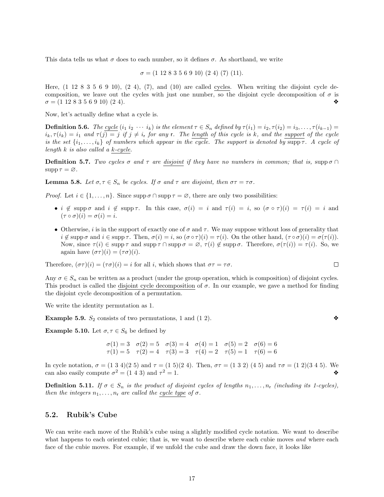This data tells us what  $\sigma$  does to each number, so it defines  $\sigma$ . As shorthand, we write

$$
\sigma = (1\ 12\ 8\ 3\ 5\ 6\ 9\ 10)\ (2\ 4)\ (7)\ (11).
$$

Here,  $(1\ 12\ 8\ 3\ 5\ 6\ 9\ 10)$ ,  $(2\ 4)$ ,  $(7)$ , and  $(10)$  are called cycles. When writing the disjoint cycle decomposition, we leave out the cycles with just one number, so the disjoint cycle decomposition of  $\sigma$  is  $\sigma = (1\ 12\ 8\ 3\ 5\ 6\ 9\ 10)$   $(2\ 4)$ .

Now, let's actually define what a cycle is.

**Definition 5.6.** The cycle  $(i_1 i_2 \cdots i_k)$  is the element  $\tau \in S_n$  defined by  $\tau(i_1) = i_2, \tau(i_2) = i_3, \ldots, \tau(i_{k-1}) =$  $i_k, \tau(i_k) = i_1$  and  $\tau(j) = j$  if  $j \neq i_r$  for any r. The length of this cycle is k, and the support of the cycle is the set  $\{i_1,\ldots,i_k\}$  of numbers which appear in the cycle. The support is denoted by  $\overline{\text{supp }\tau}$ . A cycle of length  $k$  is also called a  $k$ -cycle.

**Definition 5.7.** Two cycles  $\sigma$  and  $\tau$  are disjoint if they have no numbers in common; that is, supp  $\sigma \cap$  $\text{supp}\,\tau=\varnothing.$ 

**Lemma 5.8.** Let  $\sigma, \tau \in S_n$  be cycles. If  $\sigma$  and  $\tau$  are disjoint, then  $\sigma\tau = \tau\sigma$ .

*Proof.* Let  $i \in \{1, \ldots, n\}$ . Since  $\text{supp}\,\sigma \cap \text{supp}\,\tau = \varnothing$ , there are only two possibilities:

- i  $\notin$  supp  $\sigma$  and  $i \not\in \text{supp }\tau$ . In this case,  $\sigma(i) = i$  and  $\tau(i) = i$ , so  $(\sigma \circ \tau)(i) = \tau(i) = i$  and  $(\tau \circ \sigma)(i) = \sigma(i) = i.$
- Otherwise, i is in the support of exactly one of  $\sigma$  and  $\tau$ . We may suppose without loss of generality that  $i \notin \text{supp } \sigma \text{ and } i \in \text{supp } \tau.$  Then,  $\sigma(i) = i$ , so  $(\sigma \circ \tau)(i) = \tau(i)$ . On the other hand,  $(\tau \circ \sigma)(i) = \sigma(\tau(i))$ . Now, since  $\tau(i) \in \text{supp } \tau$  and  $\text{supp } \tau \cap \text{supp } \sigma = \emptyset$ ,  $\tau(i) \notin \text{supp } \sigma$ . Therefore,  $\sigma(\tau(i)) = \tau(i)$ . So, we again have  $(\sigma\tau)(i) = (\tau\sigma)(i)$ .

Therefore,  $(\sigma\tau)(i) = (\tau\sigma)(i) = i$  for all i, which shows that  $\sigma\tau = \tau\sigma$ .

Any  $\sigma \in S_n$  can be written as a product (under the group operation, which is composition) of disjoint cycles. This product is called the disjoint cycle decomposition of  $\sigma$ . In our example, we gave a method for finding the disjoint cycle decomposition of a permutation.

We write the identity permutation as 1.

Example 5.9.  $S_2$  consists of two permutations, 1 and (1 2).

**Example 5.10.** Let  $\sigma, \tau \in S_6$  be defined by

 $\sigma(1) = 3 \quad \sigma(2) = 5 \quad \sigma(3) = 4 \quad \sigma(4) = 1 \quad \sigma(5) = 2 \quad \sigma(6) = 6$  $\tau(1) = 5$   $\tau(2) = 4$   $\tau(3) = 3$   $\tau(4) = 2$   $\tau(5) = 1$   $\tau(6) = 6$ 

In cycle notation,  $\sigma = (1\ 3\ 4)(2\ 5)$  and  $\tau = (1\ 5)(2\ 4)$ . Then,  $\sigma\tau = (1\ 3\ 2)(4\ 5)$  and  $\tau\sigma = (1\ 2)(3\ 4\ 5)$ . We can also easily compute  $\sigma^2 = (1\ 4\ 3)$  and  $\tau$  $2 = 1.$   $\bullet$ 

**Definition 5.11.** If  $\sigma \in S_n$  is the product of disjoint cycles of lengths  $n_1, \ldots, n_r$  (including its 1-cycles), then the integers  $n_1, \ldots, n_r$  are called the cycle type of  $\sigma$ .

## 5.2. Rubik's Cube

We can write each move of the Rubik's cube using a slightly modified cycle notation. We want to describe what happens to each oriented cubie; that is, we want to describe where each cubie moves and where each face of the cubie moves. For example, if we unfold the cube and draw the down face, it looks like

 $\Box$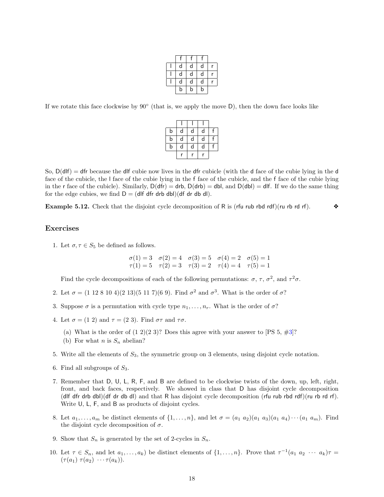| f                       | f | f                       |   |
|-------------------------|---|-------------------------|---|
| d                       | d | d                       | r |
| d                       | d | d                       | r |
| $\overline{\mathsf{d}}$ | d | $\overline{\mathsf{d}}$ |   |
| b                       | b | b                       |   |

If we rotate this face clockwise by 90° (that is, we apply the move D), then the down face looks like

| b                       | d | d | d |  |
|-------------------------|---|---|---|--|
| $\overline{\mathsf{b}}$ | d | d | d |  |
| b                       | d | d | d |  |
|                         |   |   |   |  |

So,  $D(df) = df$  because the dlf cubie now lives in the dfr cubicle (with the d face of the cubie lying in the d face of the cubicle, the l face of the cubie lying in the f face of the cubicle, and the f face of the cubie lying in the r face of the cubicle). Similarly,  $D(dfr) = drb$ ,  $D(drb) = dbl$ , and  $D(dbl) = dlf$ . If we do the same thing for the edge cubies, we find  $D = (df df dr + d\theta d\theta)$  (df dr db dl).

Example 5.12. Check that the disjoint cycle decomposition of R is (rfu rub rbd rdf)(ru rb rd rf).  $\bullet$ 

### Exercises

1. Let  $\sigma, \tau \in S_5$  be defined as follows.

$$
\begin{aligned}\n\sigma(1) &= 3 & \sigma(2) &= 4 & \sigma(3) &= 5 & \sigma(4) &= 2 & \sigma(5) &= 1 \\
\tau(1) &= 5 & \tau(2) &= 3 & \tau(3) &= 2 & \tau(4) &= 4 & \tau(5) &= 1\n\end{aligned}
$$

Find the cycle decompositions of each of the following permutations:  $\sigma$ ,  $\tau$ ,  $\sigma^2$ , and  $\tau^2\sigma$ .

- 2. Let  $\sigma = (1\ 12\ 8\ 10\ 4)(2\ 13)(5\ 11\ 7)(6\ 9)$ . Find  $\sigma^2$  and  $\sigma^3$ . What is the order of  $\sigma$ ?
- <span id="page-17-0"></span>3. Suppose  $\sigma$  is a permutation with cycle type  $n_1, \ldots, n_r$ . What is the order of  $\sigma$ ?
- 4. Let  $\sigma = (1\ 2)$  and  $\tau = (2\ 3)$ . Find  $\sigma\tau$  and  $\tau\sigma$ .
	- (a) What is the order of  $(1\ 2)(2\ 3)$ ? Does this agree with your answer to [PS 5, [#3\]](#page-17-0)?
	- (b) For what n is  $S_n$  abelian?
- 5. Write all the elements of  $S_3$ , the symmetric group on 3 elements, using disjoint cycle notation.
- 6. Find all subgroups of  $S_3$ .
- 7. Remember that D, U, L, R, F, and B are defined to be clockwise twists of the down, up, left, right, front, and back faces, respectively. We showed in class that D has disjoint cycle decomposition (dlf dfr drb dbl)(df dr db dl) and that R has disjoint cycle decomposition (rfu rub rbd rdf)(ru rb rd rf). Write U, L, F, and B as products of disjoint cycles.
- 8. Let  $a_1, \ldots, a_m$  be distinct elements of  $\{1, \ldots, n\}$ , and let  $\sigma = (a_1 \ a_2)(a_1 \ a_3)(a_1 \ a_4) \cdots (a_1 \ a_m)$ . Find the disjoint cycle decomposition of  $\sigma$ .
- <span id="page-17-1"></span>9. Show that  $S_n$  is generated by the set of 2-cycles in  $S_n$ .
- <span id="page-17-2"></span>10. Let  $\tau \in S_n$ , and let  $a_1, \ldots, a_k$ ) be distinct elements of  $\{1, \ldots, n\}$ . Prove that  $\tau^{-1}(a_1 \ a_2 \ \cdots \ a_k)\tau =$  $(\tau(a_1) \ \tau(a_2) \ \cdots \tau(a_k)).$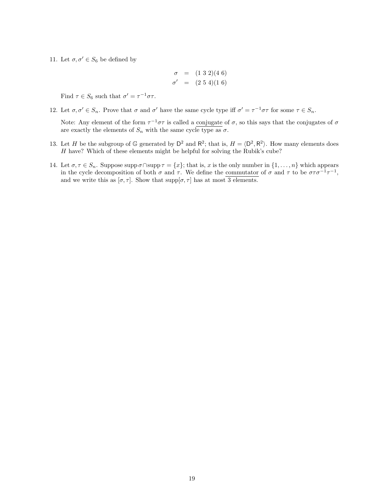11. Let  $\sigma, \sigma' \in S_6$  be defined by

$$
\begin{array}{rcl}\n\sigma & = & (1 \ 3 \ 2)(4 \ 6) \\
\sigma' & = & (2 \ 5 \ 4)(1 \ 6)\n\end{array}
$$

Find  $\tau \in S_6$  such that  $\sigma' = \tau^{-1} \sigma \tau$ .

<span id="page-18-0"></span>12. Let  $\sigma, \sigma' \in S_n$ . Prove that  $\sigma$  and  $\sigma'$  have the same cycle type iff  $\sigma' = \tau^{-1} \sigma \tau$  for some  $\tau \in S_n$ .

Note: Any element of the form  $\tau^{-1}\sigma\tau$  is called a conjugate of  $\sigma$ , so this says that the conjugates of  $\sigma$ are exactly the elements of  $S_n$  with the same cycle type as  $\sigma$ .

- 13. Let H be the subgroup of G generated by  $D^2$  and  $R^2$ ; that is,  $H = \langle D^2, R^2 \rangle$ . How many elements does H have? Which of these elements might be helpful for solving the Rubik's cube?
- 14. Let  $\sigma, \tau \in S_n$ . Suppose supp  $\sigma \cap \text{supp }\tau = \{x\}$ ; that is, x is the only number in  $\{1, \ldots, n\}$  which appears in the cycle decomposition of both  $\sigma$  and  $\tau$ . We define the commutator of  $\sigma$  and  $\tau$  to be  $\sigma\tau\sigma^{-1}\tau^{-1}$ , and we write this as  $[\sigma, \tau]$ . Show that supp $[\sigma, \tau]$  has at most 3 elements.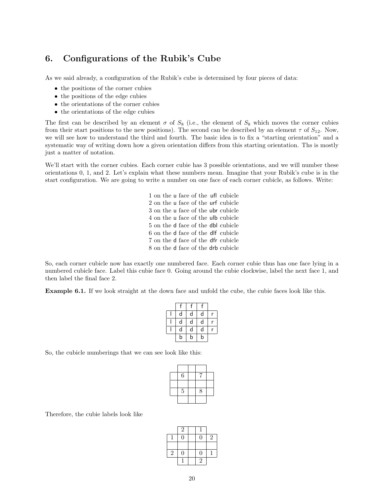# 6. Configurations of the Rubik's Cube

As we said already, a configuration of the Rubik's cube is determined by four pieces of data:

- the positions of the corner cubies
- the positions of the edge cubies
- the orientations of the corner cubies
- the orientations of the edge cubies

The first can be described by an element  $\sigma$  of  $S_8$  (i.e., the element of  $S_8$  which moves the corner cubies from their start positions to the new positions). The second can be described by an element  $\tau$  of  $S_{12}$ . Now, we will see how to understand the third and fourth. The basic idea is to fix a "starting orientation" and a systematic way of writing down how a given orientation differs from this starting orientation. Ths is mostly just a matter of notation.

We'll start with the corner cubies. Each corner cubie has 3 possible orientations, and we will number these orientations 0, 1, and 2. Let's explain what these numbers mean. Imagine that your Rubik's cube is in the start configuration. We are going to write a number on one face of each corner cubicle, as follows. Write:

> 1 on the u face of the ufl cubicle 2 on the u face of the urf cubicle 3 on the u face of the ubr cubicle 4 on the u face of the ulb cubicle 5 on the d face of the dbl cubicle 6 on the d face of the dlf cubicle 7 on the d face of the dfr cubicle 8 on the d face of the drb cubicle

So, each corner cubicle now has exactly one numbered face. Each corner cubie thus has one face lying in a numbered cubicle face. Label this cubie face 0. Going around the cubie clockwise, label the next face 1, and then label the final face 2.

Example 6.1. If we look straight at the down face and unfold the cube, the cubie faces look like this.

|  |   | f |   |   |
|--|---|---|---|---|
|  | d | d | d | r |
|  | d | d | d |   |
|  | d | d | d |   |
|  | b | b | b |   |

So, the cubicle numberings that we can see look like this:

| 6              | 7 |  |
|----------------|---|--|
|                |   |  |
| $\overline{5}$ | 8 |  |
|                |   |  |

Therefore, the cubie labels look like

|                | $\overline{2}$ |                |                |
|----------------|----------------|----------------|----------------|
|                | 0              | $\Omega$       | $\overline{2}$ |
|                |                |                |                |
| $\mathfrak{D}$ | 0              | $\overline{0}$ |                |
|                |                | $\overline{2}$ |                |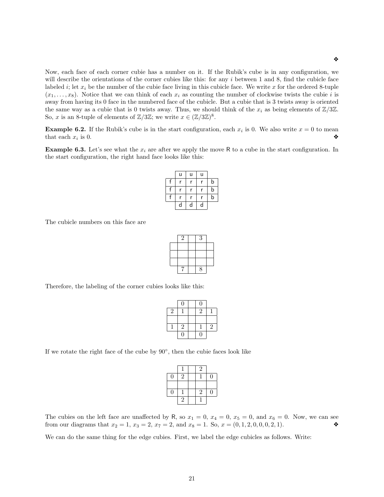Now, each face of each corner cubie has a number on it. If the Rubik's cube is in any configuration, we will describe the orientations of the corner cubies like this: for any  $i$  between 1 and 8, find the cubicle face labeled i; let  $x_i$  be the number of the cubie face living in this cubicle face. We write x for the ordered 8-tuple  $(x_1, \ldots, x_8)$ . Notice that we can think of each  $x_i$  as counting the number of clockwise twists the cubie i is away from having its 0 face in the numbered face of the cubicle. But a cubie that is 3 twists away is oriented the same way as a cubie that is 0 twists away. Thus, we should think of the  $x_i$  as being elements of  $\mathbb{Z}/3\mathbb{Z}$ . So, x is an 8-tuple of elements of  $\mathbb{Z}/3\mathbb{Z}$ ; we write  $x \in (\mathbb{Z}/3\mathbb{Z})^8$ .

**Example 6.2.** If the Rubik's cube is in the start configuration, each  $x_i$  is 0. We also write  $x = 0$  to mean that each  $x_i$  is 0. is 0.  $\bullet$ 

**Example 6.3.** Let's see what the  $x_i$  are after we apply the move R to a cube in the start configuration. In the start configuration, the right hand face looks like this:

|   | u | u | u |   |
|---|---|---|---|---|
| £ |   |   | r | b |
| f |   | r | r | b |
| f |   | r | r | b |
|   | d | d | d |   |

The cubicle numbers on this face are

| $\boldsymbol{2}$ | $\overline{3}$ |  |
|------------------|----------------|--|
|                  |                |  |
|                  |                |  |
|                  |                |  |
| 7                | $\overline{8}$ |  |

Therefore, the labeling of the corner cubies looks like this:

|            | 0              | 0              |                |
|------------|----------------|----------------|----------------|
| $\sqrt{2}$ |                | $\overline{2}$ |                |
|            |                |                |                |
|            | $\overline{2}$ |                | $\overline{2}$ |
|            |                | 0              |                |

If we rotate the right face of the cube by  $90^{\circ}$ , then the cubie faces look like

|   |                | $\overline{2}$ |    |
|---|----------------|----------------|----|
| 0 | $\overline{2}$ |                | 0  |
|   |                |                |    |
|   |                | $\overline{2}$ | í) |
|   | $\overline{2}$ |                |    |

The cubies on the left face are unaffected by R, so  $x_1 = 0$ ,  $x_4 = 0$ ,  $x_5 = 0$ , and  $x_6 = 0$ . Now, we can see from our diagrams that  $x_2 = 1$ ,  $x_3 = 2$ ,  $x_7 = 2$ , and  $x_8 = 1$ . So,  $x = (0, 1, 2, 0, 0, 0, 2, 1)$ .

We can do the same thing for the edge cubies. First, we label the edge cubicles as follows. Write: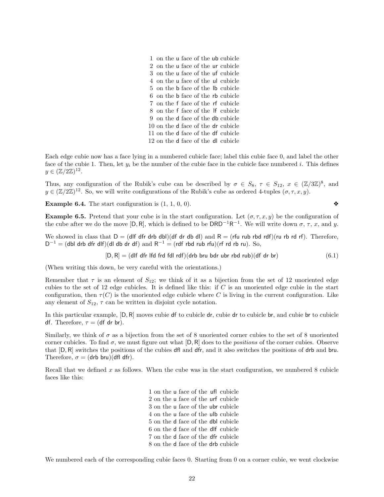1 on the u face of the ub cubicle 2 on the u face of the ur cubicle 3 on the u face of the uf cubicle 4 on the u face of the ul cubicle 5 on the b face of the lb cubicle 6 on the b face of the rb cubicle 7 on the f face of the rf cubicle 8 on the f face of the lf cubicle 9 on the d face of the db cubicle 10 on the d face of the dr cubicle 11 on the d face of the df cubicle 12 on the d face of the dl cubicle

Each edge cubie now has a face lying in a numbered cubicle face; label this cubie face 0, and label the other face of the cubie 1. Then, let  $y_i$  be the number of the cubie face in the cubicle face numbered i. This defines  $y \in (\mathbb{Z}/2\mathbb{Z})^{12}.$ 

Thus, any configuration of the Rubik's cube can be described by  $\sigma \in S_8$ ,  $\tau \in S_{12}$ ,  $x \in (\mathbb{Z}/3\mathbb{Z})^8$ , and  $y \in (\mathbb{Z}/2\mathbb{Z})^{12}$ . So, we will write configurations of the Rubik's cube as ordered 4-tuples  $(\sigma, \tau, x, y)$ .

**Example 6.4.** The start configuration is  $(1, 1, 0, 0)$ .  $\diamondsuit$ 

**Example 6.5.** Pretend that your cube is in the start configuration. Let  $(\sigma, \tau, x, y)$  be the configuration of the cube after we do the move  $[D, R]$ , which is defined to be  $DRD^{-1}R^{-1}$ . We will write down  $\sigma$ ,  $\tau$ ,  $x$ , and  $y$ .

We showed in class that  $D = (dff dfr dr dbl)(df dr db dl)$  and  $R = (rfu rub rbd rdf)(ru rb rd rf)$ . Therefore,  $D^{-1} = (db \, db \, df)$  (dl db dr df) and  $R^{-1} = (rdf \, rbd \, rub \, rfu)$  (rf rd rb ru). So,

<span id="page-21-0"></span> $[D, R] = (d\mathsf{If} \, df \, \mathsf{If} \, d\mathsf{If} \, \mathsf{Id} \, \mathsf{Id} \, \mathsf{If} \, d\mathsf{If} \, \mathsf{If} \, \mathsf{If} \, \mathsf{If} \, \mathsf{If} \, \mathsf{If} \, \mathsf{If} \, \mathsf{If} \, \mathsf{If} \, \mathsf{If} \, \mathsf{If} \, \mathsf{If} \, \mathsf{If} \, \mathsf{If} \, \mathsf{If} \, \mathsf{If} \, \mathsf{If} \, \mathsf{If} \, \mathsf{If} \, \mathsf{If} \,$ 

(When writing this down, be very careful with the orientations.)

Remember that  $\tau$  is an element of  $S_{12}$ ; we think of it as a bijection from the set of 12 unoriented edge cubies to the set of 12 edge cubicles. It is defined like this: if  $C$  is an unoriented edge cubie in the start configuration, then  $\tau(C)$  is the unoriented edge cubicle where C is living in the current configuration. Like any element of  $S_{12}$ ,  $\tau$  can be written in disjoint cycle notation.

In this particular example, [D, R] moves cubie df to cubicle dr, cubie dr to cubicle br, and cubie br to cubicle df. Therefore,  $\tau =$  (df dr br).

Similarly, we think of  $\sigma$  as a bijection from the set of 8 unoriented corner cubies to the set of 8 unoriented corner cubicles. To find  $\sigma$ , we must figure out what  $[D, R]$  does to the *positions* of the corner cubies. Observe that [D, R] switches the positions of the cubies dfl and dfr, and it also switches the positions of drb and bru. Therefore,  $\sigma = (drb)$  bru)(dfl dfr).

Recall that we defined x as follows. When the cube was in the start configuration, we numbered 8 cubicle faces like this:

> 1 on the u face of the ufl cubicle 2 on the u face of the urf cubicle 3 on the u face of the ubr cubicle 4 on the u face of the ulb cubicle 5 on the d face of the dbl cubicle 6 on the d face of the dlf cubicle 7 on the d face of the dfr cubicle 8 on the d face of the drb cubicle

We numbered each of the corresponding cubie faces 0. Starting from 0 on a corner cubie, we went clockwise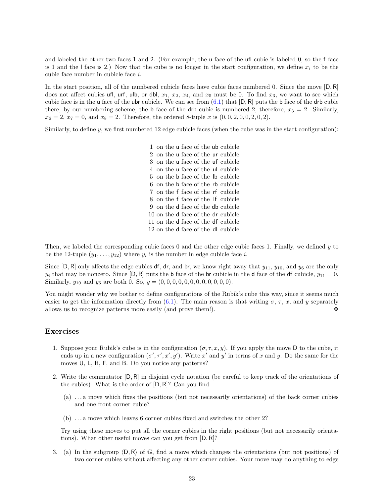and labeled the other two faces 1 and 2. (For example, the u face of the ufl cubie is labeled 0, so the f face is 1 and the l face is 2.) Now that the cube is no longer in the start configuration, we define  $x_i$  to be the cubie face number in cubicle face i.

In the start position, all of the numbered cubicle faces have cubie faces numbered 0. Since the move  $[D, R]$ does not affect cubies ufl, urf, ulb, or dbl,  $x_1$ ,  $x_2$ ,  $x_4$ , and  $x_5$  must be 0. To find  $x_3$ , we want to see which cubie face is in the u face of the ubr cubicle. We can see from  $(6.1)$  that  $[D, R]$  puts the b face of the drb cubie there; by our numbering scheme, the b face of the drb cubie is numbered 2; therefore,  $x_3 = 2$ . Similarly,  $x_6 = 2, x_7 = 0,$  and  $x_8 = 2$ . Therefore, the ordered 8-tuple x is  $(0, 0, 2, 0, 0, 2, 0, 2)$ .

Similarly, to define  $y$ , we first numbered 12 edge cubicle faces (when the cube was in the start configuration):

1 on the u face of the ub cubicle 2 on the u face of the ur cubicle 3 on the u face of the uf cubicle 4 on the u face of the ul cubicle 5 on the b face of the lb cubicle 6 on the b face of the rb cubicle 7 on the f face of the rf cubicle 8 on the f face of the lf cubicle 9 on the d face of the db cubicle 10 on the d face of the dr cubicle 11 on the d face of the df cubicle 12 on the d face of the dl cubicle

Then, we labeled the corresponding cubie faces 0 and the other edge cubie faces 1. Finally, we defined  $\eta$  to be the 12-tuple  $(y_1, \ldots, y_{12})$  where  $y_i$  is the number in edge cubicle face i.

Since [D, R] only affects the edge cubies df, dr, and br, we know right away that  $y_{11}$ ,  $y_{10}$ , and  $y_6$  are the only  $y_i$  that may be nonzero. Since [D, R] puts the b face of the br cubicle in the d face of the df cubicle,  $y_{11} = 0$ . Similarly,  $y_{10}$  and  $y_6$  are both 0. So,  $y = (0, 0, 0, 0, 0, 0, 0, 0, 0, 0, 0, 0)$ .

You might wonder why we bother to define configurations of the Rubik's cube this way, since it seems much easier to get the information directly from [\(6.1\)](#page-21-0). The main reason is that writing  $\sigma$ ,  $\tau$ ,  $x$ , and  $y$  separately allows us to recognize patterns more easily (and prove them!).  $\bullet$ 

### <span id="page-22-1"></span>Exercises

- 1. Suppose your Rubik's cube is in the configuration  $(\sigma, \tau, x, y)$ . If you apply the move D to the cube, it ends up in a new configuration  $(\sigma', \tau', x', y')$ . Write x' and y' in terms of x and y. Do the same for the moves U, L, R, F, and B. Do you notice any patterns?
- 2. Write the commutator  $[D, R]$  in disjoint cycle notation (be careful to keep track of the orientations of the cubies). What is the order of  $[D, R]$ ? Can you find ...
	- (a) . . . a move which fixes the positions (but not necessarily orientations) of the back corner cubies and one front corner cubie?
	- (b) . . . a move which leaves 6 corner cubies fixed and switches the other 2?

<span id="page-22-0"></span>Try using these moves to put all the corner cubies in the right positions (but not necessarily orientations). What other useful moves can you get from [D, R]?

<span id="page-22-2"></span>3. (a) In the subgroup  $\langle D, R \rangle$  of  $\mathbb{G}$ , find a move which changes the orientations (but not positions) of two corner cubies without affecting any other corner cubies. Your move may do anything to edge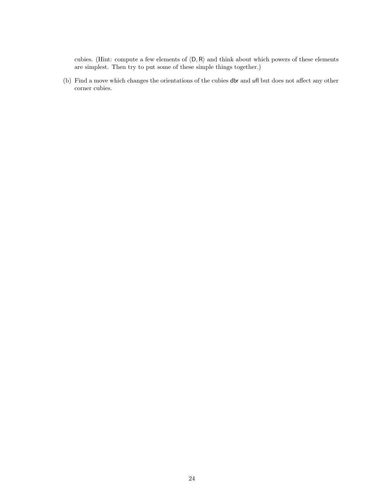cubies. (Hint: compute a few elements of  $\langle D, R \rangle$  and think about which powers of these elements are simplest. Then try to put some of these simple things together.)

(b) Find a move which changes the orientations of the cubies dbr and ufl but does not affect any other corner cubies.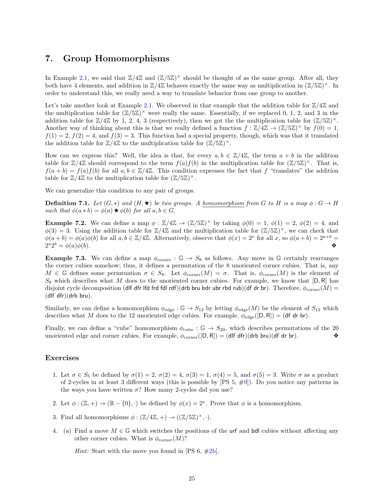## 7. Group Homomorphisms

In Example [2.1,](#page-5-0) we said that  $\mathbb{Z}/4\mathbb{Z}$  and  $(\mathbb{Z}/5\mathbb{Z})^{\times}$  should be thought of as the same group. After all, they both have 4 elements, and addition in  $\mathbb{Z}/4\mathbb{Z}$  behaves exactly the same way as multiplication in  $(\mathbb{Z}/5\mathbb{Z})^{\times}$ . In order to understand this, we really need a way to translate behavior from one group to another.

Let's take another look at Example [2.1.](#page-5-0) We observed in that example that the addition table for  $\mathbb{Z}/4\mathbb{Z}$  and the multiplication table for  $(\mathbb{Z}/5\mathbb{Z})^{\times}$  were really the same. Essentially, if we replaced 0, 1, 2, and 3 in the addition table for  $\mathbb{Z}/4\mathbb{Z}$  by 1, 2, 4, 3 (respectively), then we got the the multiplication table for  $(\mathbb{Z}/5\mathbb{Z})^{\times}$ . Another way of thinking about this is that we really defined a function  $f : \mathbb{Z}/4\mathbb{Z} \to (\mathbb{Z}/5\mathbb{Z})^{\times}$  by  $f(0) = 1$ ,  $f(1) = 2$ ,  $f(2) = 4$ , and  $f(3) = 3$ . This function had a special property, though, which was that it translated the addition table for  $\mathbb{Z}/4\mathbb{Z}$  to the multiplication table for  $(\mathbb{Z}/5\mathbb{Z})^{\times}$ .

How can we express this? Well, the idea is that, for every  $a, b \in \mathbb{Z}/4\mathbb{Z}$ , the term  $a + b$  in the addition table for  $\mathbb{Z}/4\mathbb{Z}$  should correspond to the term  $f(a)f(b)$  in the multiplication table for  $(\mathbb{Z}/5\mathbb{Z})^{\times}$ . That is,  $f(a + b) = f(a) f(b)$  for all  $a, b \in \mathbb{Z}/4\mathbb{Z}$ . This condition expresses the fact that f "translates" the addition table for  $\mathbb{Z}/4\mathbb{Z}$  to the multiplication table for  $(\mathbb{Z}/5\mathbb{Z})^{\times}$ .

We can generalize this condition to any pair of groups.

**Definition 7.1.** Let  $(G, *)$  and  $(H, \star)$  be two groups. A homomorphism from G to H is a map  $\phi : G \to H$ such that  $\phi(a * b) = \phi(a) \star \phi(b)$  for all  $a, b \in G$ .

**Example 7.2.** We can define a map  $\phi : \mathbb{Z}/4\mathbb{Z} \to (\mathbb{Z}/5\mathbb{Z})^{\times}$  by taking  $\phi(0) = 1, \phi(1) = 2, \phi(2) = 4$ , and  $\phi(3) = 3$ . Using the addition table for  $\mathbb{Z}/4\mathbb{Z}$  and the multiplication table for  $(\mathbb{Z}/5\mathbb{Z})^{\times}$ , we can check that  $\phi(a+b) = \phi(a)\phi(b)$  for all  $a, b \in \mathbb{Z}/4\mathbb{Z}$ . Alternatively, observe that  $\phi(x) = 2^x$  for all x, so  $\phi(a+b) = 2^{a+b} = 2^{a+b}$  $2^a2^b = \phi(a)\phi(b).$   $\blacklozenge$ 

**Example 7.3.** We can define a map  $\phi_{\text{corner}} : \mathbb{G} \to S_8$  as follows. Any move in  $\mathbb{G}$  certainly rearranges the corner cubies somehow; thus, it defines a permutation of the 8 unoriented corner cubies. That is, any  $M \in \mathbb{G}$  defines some permtuation  $\sigma \in S_8$ . Let  $\phi_{\text{corner}}(M) = \sigma$ . That is,  $\phi_{\text{corner}}(M)$  is the element of  $S_8$  which describes what M does to the unoriented corner cubies. For example, we know that  $[D, R]$  has disjoint cycle decomposition (dlf dfr lfd frd fdl rdf)(drb bru bdr ubr rbd rub)(df dr br). Therefore,  $\phi_{\text{corner}}(M)$  =  $(d$ lf dfr $)(dr$ b bru $).$ 

Similarly, we can define a homomorphism  $\phi_{\text{edge}} : \mathbb{G} \to S_{12}$  by letting  $\phi_{\text{edge}}(M)$  be the element of  $S_{12}$  which describes what M does to the 12 unoriented edge cubies. For example,  $\phi_{\text{edge}}([D, R]) = (df dr br)$ .

Finally, we can define a "cube" homomorphism  $\phi_{\text{cube}} : \mathbb{G} \to S_{20}$ , which describes permutations of the 20 unoriented edge and corner cubies. For example,  $\phi_{\text{corner}}([D, R]) = (\text{d} \text{df } \text{df})(\text{d} \text{df } \text{dr } \text{dr}).$   $\diamond$ 

#### Exercises

- 1. Let  $\sigma \in S_5$  be defined by  $\sigma(1) = 2$ ,  $\sigma(2) = 4$ ,  $\sigma(3) = 1$ ,  $\sigma(4) = 5$ , and  $\sigma(5) = 3$ . Write  $\sigma$  as a product of 2-cycles in at least 3 different ways (this is possible by  $[PS 5, #9]$  $[PS 5, #9]$ ). Do you notice any patterns in the ways you have written  $\sigma$ ? How many 2-cycles did you use?
- 2. Let  $\phi : (\mathbb{Z}, +) \to (\mathbb{R} \{0\}, \cdot)$  be defined by  $\phi(x) = 2^x$ . Prove that  $\phi$  is a homomorphism.
- 3. Find all homomorphisms  $\phi : (\mathbb{Z}/4\mathbb{Z},+) \to ((\mathbb{Z}/5\mathbb{Z})^{\times},\cdot).$
- <span id="page-24-0"></span>4. (a) Find a move  $M \in \mathbb{G}$  which switches the positions of the urf and bdl cubies without affecting any other corner cubies. What is  $\phi_{\text{corner}}(M)$ ?

*Hint:* Start with the move you found in [PS 6,  $\#2b$ ].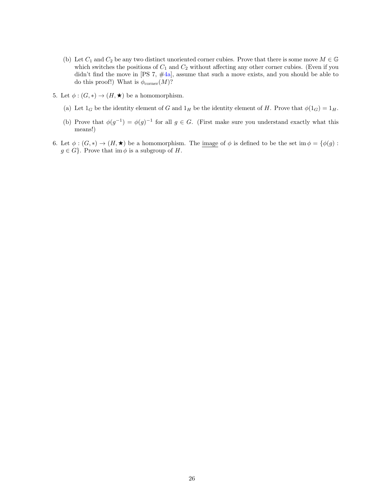- (b) Let  $C_1$  and  $C_2$  be any two distinct unoriented corner cubies. Prove that there is some move  $M \in \mathbb{G}$ which switches the positions of  $C_1$  and  $C_2$  without affecting any other corner cubies. (Even if you didn't find the move in [PS 7, [#4a\]](#page-24-0), assume that such a move exists, and you should be able to do this proof!) What is  $\phi_{\text{corner}}(M)$ ?
- <span id="page-25-0"></span>5. Let  $\phi: (G, *) \to (H, \star)$  be a homomorphism.
	- (a) Let  $1_G$  be the identity element of G and  $1_H$  be the identity element of H. Prove that  $\phi(1_G) = 1_H$ .
	- (b) Prove that  $\phi(g^{-1}) = \phi(g)^{-1}$  for all  $g \in G$ . (First make sure you understand exactly what this means!)
- <span id="page-25-1"></span>6. Let  $\phi:(G,*)\to (H,\star)$  be a homomorphism. The image of  $\phi$  is defined to be the set im  $\phi=\{\phi(g):$  $g \in G$ . Prove that im  $\phi$  is a subgroup of H.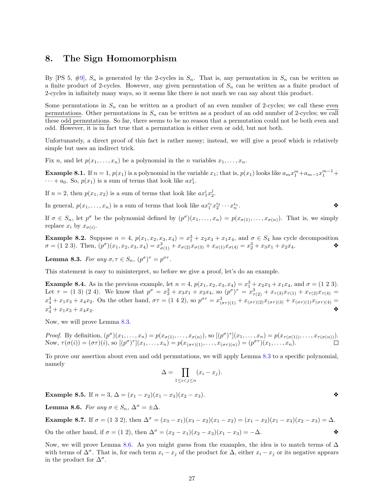## 8. The Sign Homomorphism

By [PS 5,  $\#9$ ],  $S_n$  is generated by the 2-cycles in  $S_n$ . That is, any permutation in  $S_n$  can be written as a finite product of 2-cycles. However, any given permutation of  $S_n$  can be written as a finite product of 2-cycles in infinitely many ways, so it seems like there is not much we can say about this product.

Some permutations in  $S_n$  can be written as a product of an even number of 2-cycles; we call these even permutations. Other permutations in  $S_n$  can be written as a product of an odd number of 2-cycles; we call these odd permutations. So far, there seems to be no reason that a permutation could not be both even and odd. However, it is in fact true that a permutation is either even or odd, but not both.

Unfortunately, a direct proof of this fact is rather messy; instead, we will give a proof which is relatively simple but uses an indirect trick.

Fix *n*, and let  $p(x_1, \ldots, x_n)$  be a polynomial in the *n* variables  $x_1, \ldots, x_n$ .

**Example 8.1.** If  $n = 1$ ,  $p(x_1)$  is a polynomial in the variable  $x_1$ ; that is,  $p(x_1)$  looks like  $a_m x_1^m + a_{m-1} x_1^{m-1} +$  $\cdots + a_0$ . So,  $p(x_1)$  is a sum of terms that look like  $ax_1^i$ .

If  $n = 2$ , then  $p(x_1, x_2)$  is a sum of terms that look like  $ax_1^i x_2^j$ .

In general,  $p(x_1, \ldots, x_n)$  is a sum of terms that look like  $ax_1^{i_1}x_2^{i_2}\cdots x_n^{i_n}$ . ❖

If  $\sigma \in S_n$ , let  $p^{\sigma}$  be the polynomial defined by  $(p^{\sigma})(x_1,\ldots,x_n) = p(x_{\sigma(1)},\ldots,x_{\sigma(n)})$ . That is, we simply replace  $x_i$  by  $x_{\sigma(i)}$ .

**Example 8.2.** Suppose  $n = 4$ ,  $p(x_1, x_2, x_3, x_4) = x_1^3 + x_2x_3 + x_1x_4$ , and  $\sigma \in S_4$  has cycle decomposition  $\sigma = (1\ 2\ 3)$ . Then,  $(p^{\sigma})(x_1, x_2, x_3, x_4) = x_{\sigma(1)}^3 + x_{\sigma(2)}x_{\sigma(3)} + x_{\sigma(1)}x_{\sigma(4)} = x_2^3 + x_3x_1 + x_2x_4$ .

<span id="page-26-0"></span>**Lemma 8.3.** For any  $\sigma, \tau \in S_n$ ,  $(p^{\sigma})^{\tau} = p^{\sigma \tau}$ .

This statement is easy to misinterpret, so before we give a proof, let's do an example.

**Example 8.4.** As in the previous example, let  $n = 4$ ,  $p(x_1, x_2, x_3, x_4) = x_1^3 + x_2x_3 + x_1x_4$ , and  $\sigma = (1\ 2\ 3)$ . Let  $\tau = (1\ 3)\ (2\ 4)$ . We know that  $p^{\sigma} = x_2^3 + x_3x_1 + x_2x_4$ , so  $(p^{\sigma})^{\tau} = x_{\tau(2)}^3 + x_{\tau(3)}x_{\tau(1)} + x_{\tau(2)}x_{\tau(4)} =$  $x_4^3 + x_1x_3 + x_4x_2$ . On the other hand,  $\sigma\tau = (1\ 4\ 2)$ , so  $p^{\sigma\tau} = x_{(\sigma\tau)(1)}^3 + x_{(\sigma\tau)(2)}x_{(\sigma\tau)(3)} + x_{(\sigma\tau)(1)}x_{(\sigma\tau)(4)} =$  $x_4^3 + x_1x_3 + x_4x_2.$ 

Now, we will prove Lemma [8.3.](#page-26-0)

*Proof.* By definition,  $(p^{\sigma})(x_1,\ldots,x_n) = p(x_{\sigma(1)},\ldots,x_{\sigma(n)}),$  so  $[(p^{\sigma})^{\tau}](x_1,\ldots,x_n) = p(x_{\tau(\sigma(1))},\ldots,x_{\tau(\sigma(n))}).$ Now,  $\tau(\sigma(i)) = (\sigma \tau)(i)$ , so  $[(p^{\sigma})^{\tau}](x_1, \ldots, x_n) = p(x_{(\sigma \tau)(1)}, \ldots, x_{(\sigma \tau)(n)}) = (p^{\sigma \tau})(x_1, \ldots, x_n)$ .

To prove our assertion about even and odd permutations, we will apply Lemma [8.3](#page-26-0) to a specific polynomial, namely

$$
\Delta = \prod_{1 \le i < j \le n} (x_i - x_j).
$$

Example 8.5. If  $n = 3$ ,  $\Delta = (x_1 - x_2)(x_1 - x_3)(x_2 - x_3)$ . ❖

<span id="page-26-1"></span>Lemma 8.6. For any  $\sigma \in S_n$ ,  $\Delta^{\sigma} = \pm \Delta$ .

**Example 8.7.** If 
$$
\sigma = (1\ 3\ 2)
$$
, then  $\Delta^{\sigma} = (x_3 - x_1)(x_3 - x_2)(x_1 - x_2) = (x_1 - x_2)(x_1 - x_3)(x_2 - x_3) = \Delta$ .

On the other hand, if  $\sigma = (1\ 2)$ , then  $\Delta^{\sigma} = (x_2 - x_1)(x_2 - x_3)(x_1 - x_3) = -\Delta$ .

Now, we will prove Lemma [8.6.](#page-26-1) As you might guess from the examples, the idea is to match terms of  $\Delta$ with terms of  $\Delta^{\sigma}$ . That is, for each term  $x_i - x_j$  of the product for  $\Delta$ , either  $x_i - x_j$  or its negative appears in the product for  $\Delta^{\sigma}$ .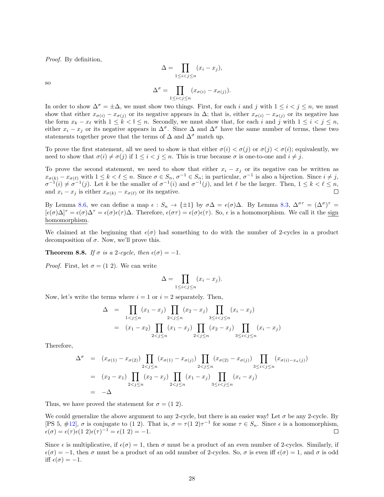Proof. By definition,

$$
\Delta = \prod_{1 \le i < j \le n} (x_i - x_j),
$$

so

$$
\Delta^{\sigma} = \prod_{1 \le i < j \le n} (x_{\sigma(i)} - x_{\sigma(j)}).
$$

In order to show  $\Delta^{\sigma} = \pm \Delta$ , we must show two things. First, for each i and j with  $1 \leq i < j \leq n$ , we must show that either  $x_{\sigma(i)} - x_{\sigma(j)}$  or its negative appears in  $\Delta$ ; that is, either  $x_{\sigma(i)} - x_{\sigma(j)}$  or its negative has the form  $x_k - x_\ell$  with  $1 \leq k < l \leq n$ . Secondly, we must show that, for each i and j with  $1 \leq i < j \leq n$ , either  $x_i - x_j$  or its negative appears in  $\Delta^{\sigma}$ . Since  $\Delta$  and  $\Delta^{\sigma}$  have the same number of terms, these two statements together prove that the terms of  $\Delta$  and  $\Delta^{\sigma}$  match up.

To prove the first statement, all we need to show is that either  $\sigma(i) < \sigma(j)$  or  $\sigma(j) < \sigma(i)$ ; equivalently, we need to show that  $\sigma(i) \neq \sigma(j)$  if  $1 \leq i < j \leq n$ . This is true because  $\sigma$  is one-to-one and  $i \neq j$ .

To prove the second statement, we need to show that either  $x_i - x_j$  or its negative can be written as  $x_{\sigma(k)} - x_{\sigma(\ell)}$  with  $1 \leq k < \ell \leq n$ . Since  $\sigma \in S_n$ ,  $\sigma^{-1} \in S_n$ ; in particular,  $\sigma^{-1}$  is also a bijection. Since  $i \neq j$ ,  $\sigma^{-1}(i) \neq \sigma^{-1}(j)$ . Let k be the smaller of  $\sigma^{-1}(i)$  and  $\sigma^{-1}(j)$ , and let  $\ell$  be the larger. Then,  $1 \leq k < \ell \leq n$ , and  $x_i - x_j$  is either  $x_{\sigma(k)} - x_{\sigma(\ell)}$  or its negative.  $\Box$ 

By Lemma [8.6,](#page-26-1) we can define a map  $\epsilon : S_n \to \{\pm 1\}$  by  $\sigma\Delta = \epsilon(\sigma)\Delta$ . By Lemma [8.3,](#page-26-0)  $\Delta^{\sigma\tau} = (\Delta^{\sigma})^{\tau} =$  $[\epsilon(\sigma)\Delta]^{\tau} = \epsilon(\sigma)\Delta^{\tau} = \epsilon(\sigma)\epsilon(\tau)\Delta$ . Therefore,  $\epsilon(\sigma\tau) = \epsilon(\sigma)\epsilon(\tau)$ . So,  $\epsilon$  is a homomorphism. We call it the sign homomorphism.

We claimed at the beginning that  $\epsilon(\sigma)$  had something to do with the number of 2-cycles in a product decomposition of  $\sigma$ . Now, we'll prove this.

**Theorem 8.8.** If  $\sigma$  is a 2-cycle, then  $\epsilon(\sigma) = -1$ .

*Proof.* First, let  $\sigma = (1\ 2)$ . We can write

$$
\Delta = \prod_{1 \le i < j \le n} (x_i - x_j).
$$

Now, let's write the terms where  $i = 1$  or  $i = 2$  separately. Then,

$$
\Delta = \prod_{1 < j \le n} (x_1 - x_j) \prod_{2 < j \le n} (x_2 - x_j) \prod_{3 \le i < j \le n} (x_i - x_j)
$$
\n
$$
= (x_1 - x_2) \prod_{2 < j \le n} (x_1 - x_j) \prod_{2 < j \le n} (x_2 - x_j) \prod_{3 \le i < j \le n} (x_i - x_j)
$$

Therefore,

$$
\Delta^{\sigma} = (x_{\sigma(1)} - x_{\sigma(2)}) \prod_{2 < j \le n} (x_{\sigma(1)} - x_{\sigma(j)}) \prod_{2 < j \le n} (x_{\sigma(2)} - x_{\sigma(j)}) \prod_{3 \le i < j \le n} (x_{\sigma(i) - x_{\sigma(j)}})
$$
  
=  $(x_2 - x_1) \prod_{2 < j \le n} (x_2 - x_j) \prod_{2 < j \le n} (x_1 - x_j) \prod_{3 \le i < j \le n} (x_i - x_j)$   
=  $-\Delta$ 

Thus, we have proved the statement for  $\sigma = (1\ 2)$ .

We could generalize the above argument to any 2-cycle, but there is an easier way! Let  $\sigma$  be any 2-cycle. By [PS 5, [#12\]](#page-18-0),  $\sigma$  is conjugate to (1 2). That is,  $\sigma = \tau(1\ 2)\tau^{-1}$  for some  $\tau \in S_n$ . Since  $\epsilon$  is a homomorphism,  $\epsilon(\sigma) = \epsilon(\tau)\epsilon(1\ 2)\epsilon(\tau)^{-1} = \epsilon(1\ 2) = -1.$ П

Since  $\epsilon$  is multiplicative, if  $\epsilon(\sigma) = 1$ , then  $\sigma$  must be a product of an even number of 2-cycles. Similarly, if  $\epsilon(\sigma) = -1$ , then  $\sigma$  must be a product of an odd number of 2-cycles. So,  $\sigma$  is even iff  $\epsilon(\sigma) = 1$ , and  $\sigma$  is odd iff  $\epsilon(\sigma) = -1$ .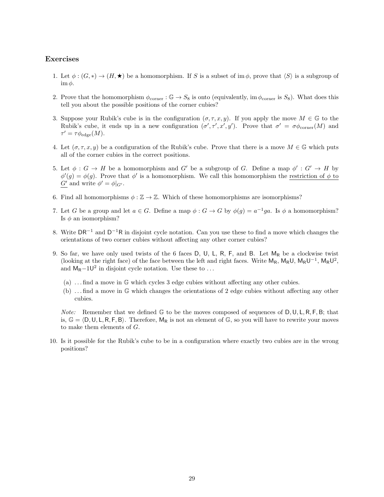### Exercises

- 1. Let  $\phi: (G, *) \to (H, \star)$  be a homomorphism. If S is a subset of im  $\phi$ , prove that  $\langle S \rangle$  is a subgroup of im  $φ$ .
- 2. Prove that the homomorphism  $\phi_{\text{corner}} : \mathbb{G} \to S_8$  is onto (equivalently, im  $\phi_{\text{corner}}$  is  $S_8$ ). What does this tell you about the possible positions of the corner cubies?
- <span id="page-28-0"></span>3. Suppose your Rubik's cube is in the configuration  $(\sigma, \tau, x, y)$ . If you apply the move  $M \in \mathbb{G}$  to the Rubik's cube, it ends up in a new configuration  $(\sigma', \tau', x', y')$ . Prove that  $\sigma' = \sigma \phi_{\text{corner}}(M)$  and  $\tau' = \tau \phi_{\text{edge}}(M).$
- 4. Let  $(\sigma, \tau, x, y)$  be a configuration of the Rubik's cube. Prove that there is a move  $M \in \mathbb{G}$  which puts all of the corner cubies in the correct positions.
- <span id="page-28-1"></span>5. Let  $\phi: G \to H$  be a homomorphism and G' be a subgroup of G. Define a map  $\phi': G' \to H$  by  $\phi'(g) = \phi(g)$ . Prove that  $\phi'$  is a homomorphism. We call this homomorphism the restriction of  $\phi$  to  $G'$  and write  $\phi' = \phi|_{G'}$ .
- 6. Find all homomorphisms  $\phi : \mathbb{Z} \to \mathbb{Z}$ . Which of these homomorphisms are isomorphisms?
- 7. Let G be a group and let  $a \in G$ . Define a map  $\phi : G \to G$  by  $\phi(g) = a^{-1}ga$ . Is  $\phi$  a homomorphism? Is  $\phi$  an isomorphism?
- 8. Write  $DR^{-1}$  and  $D^{-1}R$  in disjoint cycle notation. Can you use these to find a move which changes the orientations of two corner cubies without affecting any other corner cubies?
- <span id="page-28-2"></span>9. So far, we have only used twists of the 6 faces D, U, L, R, F, and B. Let M<sup>R</sup> be a clockwise twist (looking at the right face) of the face between the left and right faces. Write  $M_R$ ,  $M_R U$ ,  $M_R U^{-1}$ ,  $M_R U^2$ , and  $M_R-1U^2$  in disjoint cycle notation. Use these to ...
	- (a) . . . find a move in G which cycles 3 edge cubies without affecting any other cubies.
	- (b) . . . find a move in G which changes the orientations of 2 edge cubies without affecting any other cubies.

<span id="page-28-3"></span>*Note:* Remember that we defined  $\mathbb{G}$  to be the moves composed of sequences of  $D, U, L, R, F, B$ ; that is,  $\mathbb{G} = \langle D, U, L, R, F, B \rangle$ . Therefore,  $M_R$  is not an element of  $\mathbb{G}$ , so you will have to rewrite your moves to make them elements of G.

10. Is it possible for the Rubik's cube to be in a configuration where exactly two cubies are in the wrong positions?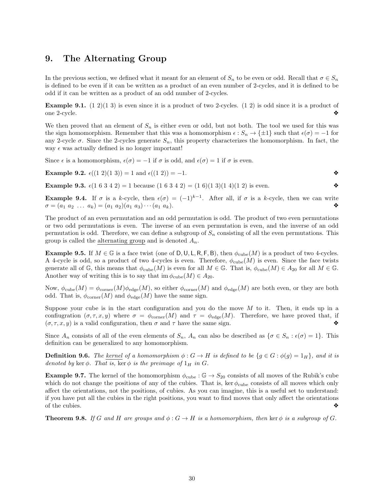## 9. The Alternating Group

In the previous section, we defined what it meant for an element of  $S_n$  to be even or odd. Recall that  $\sigma \in S_n$ is defined to be even if it can be written as a product of an even number of 2-cycles, and it is defined to be odd if it can be written as a product of an odd number of 2-cycles.

**Example 9.1.** (1 2)(1 3) is even since it is a product of two 2-cycles. (1 2) is odd since it is a product of one 2-cycle.  $\bullet$ 

We then proved that an element of  $S_n$  is either even or odd, but not both. The tool we used for this was the sign homomorphism. Remember that this was a homomorphism  $\epsilon : S_n \to {\pm 1}$  such that  $\epsilon(\sigma) = -1$  for any 2-cycle  $\sigma$ . Since the 2-cycles generate  $S_n$ , this property characterizes the homomorphism. In fact, the way  $\epsilon$  was actually defined is no longer important!

Since  $\epsilon$  is a homomorphism,  $\epsilon(\sigma) = -1$  if  $\sigma$  is odd, and  $\epsilon(\sigma) = 1$  if  $\sigma$  is even.

**Example 9.2.**  $\epsilon((1\ 2)(1\ 3)) = 1$  and  $\epsilon((1\ 2)) = -1$ . ❖

Example 9.3.  $\epsilon(1\ 6\ 3\ 4\ 2) = 1$  because  $(1\ 6\ 3\ 4\ 2) = (1\ 6)(1\ 3)(1\ 4)(1\ 2)$  is even.

**Example 9.4.** If  $\sigma$  is a k-cycle, then  $\epsilon(\sigma) = (-1)^{k-1}$ . After all, if  $\sigma$  is a k-cycle, then we can write  $\sigma = (a_1 \ a_2 \ \ldots \ a_k) = (a_1 \ a_2)(a_1 \ a_3) \cdots (a_1 \ a_k).$ 

The product of an even permutation and an odd permutation is odd. The product of two even permutations or two odd permutations is even. The inverse of an even permutation is even, and the inverse of an odd permutation is odd. Therefore, we can define a subgroup of  $S_n$  consisting of all the even permutations. This group is called the alternating group and is denoted  $A_n$ .

**Example 9.5.** If  $M \in \mathbb{G}$  is a face twist (one of D, U, L, R, F, B), then  $\phi_{\text{cube}}(M)$  is a product of two 4-cycles. A 4-cycle is odd, so a product of two 4-cycles is even. Therefore,  $\phi_{\text{cube}}(M)$  is even. Since the face twists generate all of G, this means that  $\phi_{\text{cube}}(M)$  is even for all  $M \in \mathbb{G}$ . That is,  $\phi_{\text{cube}}(M) \in A_{20}$  for all  $M \in \mathbb{G}$ . Another way of writing this is to say that im  $\phi_{\text{cube}}(M) \in A_{20}$ .

Now,  $\phi_{\text{cube}}(M) = \phi_{\text{corner}}(M)\phi_{\text{edge}}(M)$ , so either  $\phi_{\text{corner}}(M)$  and  $\phi_{\text{edge}}(M)$  are both even, or they are both odd. That is,  $\phi_{\text{corner}}(M)$  and  $\phi_{\text{edge}}(M)$  have the same sign.

Suppose your cube is in the start configuration and you do the move  $M$  to it. Then, it ends up in a confiugration  $(\sigma, \tau, x, y)$  where  $\sigma = \phi_{\text{corner}}(M)$  and  $\tau = \phi_{\text{edge}}(M)$ . Therefore, we have proved that, if  $(\sigma, \tau, x, y)$  is a valid configuration, then  $\sigma$  and  $\tau$  have the same sign.  $\bullet$ 

Since  $A_n$  consists of all of the even elements of  $S_n$ ,  $A_n$  can also be described as  $\{\sigma \in S_n : \epsilon(\sigma) = 1\}$ . This definition can be generalized to any homomorphism.

**Definition 9.6.** The kernel of a homomorphism  $\phi : G \to H$  is defined to be  $\{g \in G : \phi(g) = 1_H\}$ , and it is denoted by ker  $\phi$ . That is, ker  $\phi$  is the preimage of  $1_H$  in G.

**Example 9.7.** The kernel of the homomorphism  $\phi_{\text{cube}} : \mathbb{G} \to S_{20}$  consists of all moves of the Rubik's cube which do not change the positions of any of the cubies. That is, ker  $\phi_{\text{cube}}$  consists of all moves which only affect the orientations, not the positions, of cubies. As you can imagine, this is a useful set to understand: if you have put all the cubies in the right positions, you want to find moves that only affect the orientations of the cubies.  $\bullet$ 

**Theorem 9.8.** If G and H are groups and  $\phi : G \to H$  is a homomorphism, then ker  $\phi$  is a subgroup of G.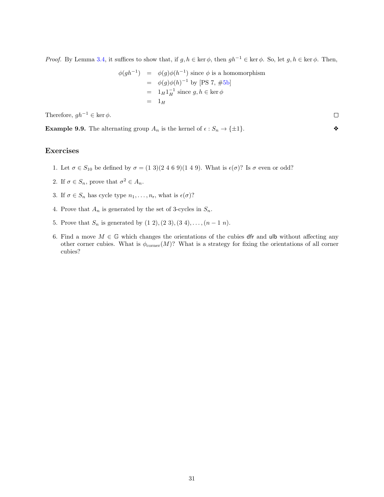Proof. By Lemma [3.4,](#page-11-0) it suffices to show that, if  $g, h \in \text{ker }\phi$ , then  $gh^{-1} \in \text{ker }\phi$ . So, let  $g, h \in \text{ker }\phi$ . Then,

$$
\phi(gh^{-1}) = \phi(g)\phi(h^{-1}) \text{ since } \phi \text{ is a homomorphism}
$$
  
=  $\phi(g)\phi(h)^{-1} \text{ by [PS 7, #5b]}$   
=  $1_H 1_H^{-1} \text{ since } g, h \in \ker \phi$   
=  $1_H$ 

Therefore,  $gh^{-1} \in \ker \phi$ .

**Example 9.9.** The alternating group  $A_n$  is the kernel of  $\epsilon : S_n \to {\pm 1}$ .

## Exercises

- 1. Let  $\sigma \in S_{10}$  be defined by  $\sigma = (1\ 3)(2\ 4\ 6\ 9)(1\ 4\ 9)$ . What is  $\epsilon(\sigma)$ ? Is  $\sigma$  even or odd?
- 2. If  $\sigma \in S_n$ , prove that  $\sigma^2 \in A_n$ .
- 3. If  $\sigma \in S_n$  has cycle type  $n_1, \ldots, n_r$ , what is  $\epsilon(\sigma)$ ?
- <span id="page-30-0"></span>4. Prove that  $A_n$  is generated by the set of 3-cycles in  $S_n$ .
- 5. Prove that  $S_n$  is generated by  $(1\ 2), (2\ 3), (3\ 4), \ldots, (n-1\ n)$ .
- 6. Find a move  $M \in \mathbb{G}$  which changes the orientations of the cubies dfr and ulb without affecting any other corner cubies. What is  $\phi_{\text{corner}}(M)$ ? What is a strategy for fixing the orientations of all corner cubies?

 $\Box$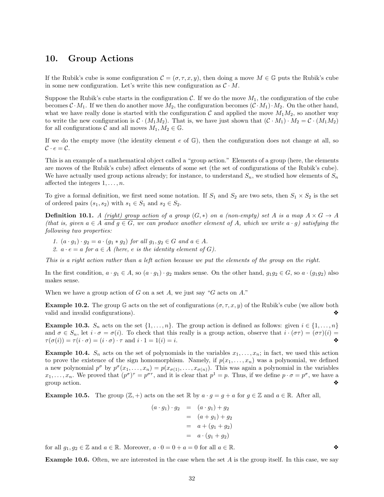## 10. Group Actions

If the Rubik's cube is some configuration  $\mathcal{C} = (\sigma, \tau, x, y)$ , then doing a move  $M \in \mathbb{G}$  puts the Rubik's cube in some new configuration. Let's write this new configuration as  $C \cdot M$ .

Suppose the Rubik's cube starts in the configuration C. If we do the move  $M_1$ , the configuration of the cube becomes  $\mathcal{C} \cdot M_1$ . If we then do another move  $M_2$ , the configuration becomes  $(\mathcal{C} \cdot M_1) \cdot M_2$ . On the other hand, what we have really done is started with the configuration  $\mathcal C$  and applied the move  $M_1M_2$ , so another way to write the new configuration is  $C \cdot (M_1M_2)$ . That is, we have just shown that  $(C \cdot M_1) \cdot M_2 = C \cdot (M_1M_2)$ for all configurations C and all moves  $M_1, M_2 \in \mathbb{G}$ .

If we do the empty move (the identity element  $e$  of  $\mathbb{G}$ ), then the configuration does not change at all, so  $C \cdot e = C$ .

This is an example of a mathematical object called a "group action." Elements of a group (here, the elements are moves of the Rubik's cube) affect elements of some set (the set of configurations of the Rubik's cube). We have actually used group actions already; for instance, to understand  $S_n$ , we studied how elements of  $S_n$ affected the integers  $1, \ldots, n$ .

To give a formal definition, we first need some notation. If  $S_1$  and  $S_2$  are two sets, then  $S_1 \times S_2$  is the set of ordered pairs  $(s_1, s_2)$  with  $s_1 \in S_1$  and  $s_2 \in S_2$ .

**Definition 10.1.** A (right) group action of a group  $(G, *)$  on a (non-empty) set A is a map  $A \times G \rightarrow A$ (that is, given  $a \in A$  and  $g \in G$ , we can produce another element of A, which we write  $a \cdot g$ ) satisfying the following two properties:

- 1.  $(a \cdot g_1) \cdot g_2 = a \cdot (g_1 * g_2)$  for all  $g_1, g_2 \in G$  and  $a \in A$ .
- 2.  $a \cdot e = a$  for  $a \in A$  (here, e is the identity element of G).

This is a right action rather than a left action because we put the elements of the group on the right.

In the first condition,  $a \cdot g_1 \in A$ , so  $(a \cdot g_1) \cdot g_2$  makes sense. On the other hand,  $g_1g_2 \in G$ , so  $a \cdot (g_1g_2)$  also makes sense.

When we have a group action of G on a set A, we just say "G acts on A."

**Example 10.2.** The group G acts on the set of configurations ( $\sigma$ ,  $\tau$ ,  $x$ ,  $y$ ) of the Rubik's cube (we allow both valid and invalid configurations). ◆

**Example 10.3.**  $S_n$  acts on the set  $\{1, \ldots, n\}$ . The group action is defined as follows: given  $i \in \{1, \ldots, n\}$ and  $\sigma \in S_n$ , let  $i \cdot \sigma = \sigma(i)$ . To check that this really is a group action, observe that  $i \cdot (\sigma \tau) = (\sigma \tau)(i)$  $\tau(\sigma(i)) = \tau(i \cdot \sigma) = (i \cdot \sigma) \cdot \tau$  and  $i \cdot 1 = 1(i) = i$ .

**Example 10.4.**  $S_n$  acts on the set of polynomials in the variables  $x_1, \ldots, x_n$ ; in fact, we used this action to prove the existence of the sign homomorphism. Namely, if  $p(x_1, \ldots, x_n)$  was a polynomial, we defined a new polynomial  $p^{\sigma}$  by  $p^{\sigma}(x_1,\ldots,x_n) = p(x_{\sigma(1)},\ldots,x_{\sigma(n)})$ . This was again a polynomial in the variables  $x_1, \ldots, x_n$ . We proved that  $(p^{\sigma})^{\tau} = p^{\sigma \tau}$ , and it is clear that  $p^1 = p$ . Thus, if we define  $p \cdot \sigma = p^{\sigma}$ , we have a group action.  $\bullet$ 

<span id="page-31-0"></span>**Example 10.5.** The group  $(\mathbb{Z}, +)$  acts on the set  $\mathbb{R}$  by  $a \cdot g = g + a$  for  $g \in \mathbb{Z}$  and  $a \in \mathbb{R}$ . After all,

$$
(a \cdot g_1) \cdot g_2 = (a \cdot g_1) + g_2
$$
  
=  $(a + g_1) + g_2$   
=  $a + (g_1 + g_2)$   
=  $a \cdot (g_1 + g_2)$ 

for all  $g_1, g_2 \in \mathbb{Z}$  and  $a \in \mathbb{R}$ . Moreover,  $a \cdot 0 = 0 + a = 0$  for all  $a \in \mathbb{R}$ .

**Example 10.6.** Often, we are interested in the case when the set A is the group itself. In this case, we say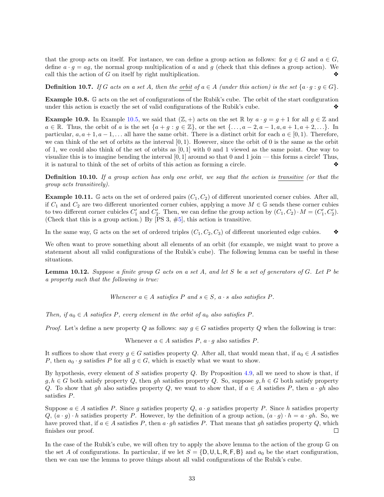that the group acts on itself. For instance, we can define a group action as follows: for  $g \in G$  and  $a \in G$ , define  $a \cdot g = ag$ , the normal group multiplication of a and g (check that this defines a group action). We call this the action of G on itself by right multiplication.  $\bullet$ 

**Definition 10.7.** If G acts on a set A, then the orbit of  $a \in A$  (under this action) is the set  $\{a \cdot g : g \in G\}$ .

Example 10.8. G acts on the set of configurations of the Rubik's cube. The orbit of the start configuration under this action is exactly the set of valid configurations of the Rubik's cube.  $\bullet$ 

**Example 10.9.** In Example [10.5,](#page-31-0) we said that  $(\mathbb{Z}, +)$  acts on the set  $\mathbb{R}$  by  $a \cdot g = g + 1$  for all  $g \in \mathbb{Z}$  and  $a \in \mathbb{R}$ . Thus, the orbit of a is the set  $\{a + g : g \in \mathbb{Z}\}$ , or the set  $\{\ldots, a-2, a-1, a, a+1, a+2, \ldots\}$ . In particular,  $a, a + 1, a - 1, \ldots$  all have the same orbit. There is a distinct orbit for each  $a \in [0, 1)$ . Therefore, we can think of the set of orbits as the interval  $[0, 1)$ . However, since the orbit of 0 is the same as the orbit of 1, we could also think of the set of orbits as  $[0, 1]$  with 0 and 1 viewed as the same point. One way to visualize this is to imagine bending the interval  $[0, 1]$  around so that 0 and 1 join — this forms a circle! Thus, it is natural to think of the set of orbits of this action as forming a circle. ❖

**Definition 10.10.** If a group action has only one orbit, we say that the action is transitive (or that the group acts transitively).

**Example 10.11.** G acts on the set of ordered pairs  $(C_1, C_2)$  of different unoriented corner cubies. After all, if  $C_1$  and  $C_2$  are two different unoriented corner cubies, applying a move  $M \in \mathbb{G}$  sends these corner cubies to two different corner cubicles  $C'_1$  and  $C'_2$ . Then, we can define the group action by  $(C_1, C_2) \cdot M = (C'_1, C'_2)$ . (Check that this is a group action.) By  $[PS 3, #5]$  $[PS 3, #5]$ , this action is transitive.

In the same way, G acts on the set of ordered triples  $(C_1, C_2, C_3)$  of different unoriented edge cubies.  $\bullet$ 

We often want to prove something about all elements of an orbit (for example, we might want to prove a statement about all valid configurations of the Rubik's cube). The following lemma can be useful in these situations.

<span id="page-32-0"></span>**Lemma 10.12.** Suppose a finite group  $G$  acts on a set  $A$ , and let  $S$  be a set of generators of  $G$ . Let  $P$  be a property such that the following is true:

Whenever  $a \in A$  satisfies P and  $s \in S$ ,  $a \cdot s$  also satisfies P.

Then, if  $a_0 \in A$  satisfies P, every element in the orbit of  $a_0$  also satisfies P.

*Proof.* Let's define a new property Q as follows: say  $g \in G$  satisfies property Q when the following is true:

Whenever  $a \in A$  satisfies  $P$ ,  $a \cdot g$  also satisfies  $P$ .

It suffices to show that every  $g \in G$  satisfies property Q. After all, that would mean that, if  $a_0 \in A$  satisfies P, then  $a_0 \cdot g$  satisfies P for all  $g \in G$ , which is exactly what we want to show.

By hypothesis, every element of S satisfies property  $Q$ . By Proposition [4.9,](#page-14-0) all we need to show is that, if  $g, h \in G$  both satisfy property Q, then gh satisfies property Q. So, suppose  $g, h \in G$  both satisfy property Q. To show that gh also satisfies property Q, we want to show that, if  $a \in A$  satisfies P, then  $a \cdot gh$  also satisfies P.

Suppose  $a \in A$  satisfies P. Since g satisfies property Q,  $a \cdot g$  satisfies property P. Since h satisfies property  $Q, (a \cdot g) \cdot h$  satisfies property P. However, by the definition of a group action,  $(a \cdot g) \cdot h = a \cdot gh$ . So, we have proved that, if  $a \in A$  satisfies P, then  $a \cdot gh$  satisfies P. That means that gh satisfies property Q, which finishes our proof.  $\Box$ 

In the case of the Rubik's cube, we will often try to apply the above lemma to the action of the group G on the set A of configurations. In particular, if we let  $S = \{D, U, L, R, F, B\}$  and  $a_0$  be the start configuration, then we can use the lemma to prove things about all valid configurations of the Rubik's cube.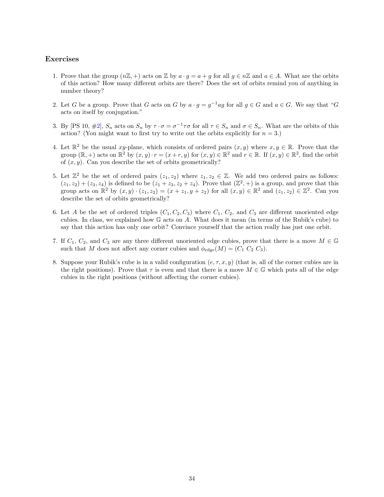### Exercises

- 1. Prove that the group  $(n\mathbb{Z}, +)$  acts on  $\mathbb{Z}$  by  $a \cdot g = a + g$  for all  $g \in n\mathbb{Z}$  and  $a \in A$ . What are the orbits of this action? How many different orbits are there? Does the set of orbits remind you of anything in number theory?
- <span id="page-33-0"></span>2. Let G be a group. Prove that G acts on G by  $a \cdot g = g^{-1}ag$  for all  $g \in G$  and  $a \in G$ . We say that "G acts on itself by conjugation."
- 3. By [PS 10,  $\#2$ ],  $S_n$  acts on  $S_n$  by  $\tau \cdot \sigma = \sigma^{-1} \tau \sigma$  for all  $\tau \in S_n$  and  $\sigma \in S_n$ . What are the orbits of this action? (You might want to first try to write out the orbits explicitly for  $n = 3$ .)
- 4. Let  $\mathbb{R}^2$  be the usual xy-plane, which consists of ordered pairs  $(x, y)$  where  $x, y \in \mathbb{R}$ . Prove that the group  $(\mathbb{R}, +)$  acts on  $\mathbb{R}^2$  by  $(x, y) \cdot r = (x + r, y)$  for  $(x, y) \in \mathbb{R}^2$  and  $r \in \mathbb{R}$ . If  $(x, y) \in \mathbb{R}^2$ , find the orbit of  $(x, y)$ . Can you describe the set of orbits geometrically?
- 5. Let  $\mathbb{Z}^2$  be the set of ordered pairs  $(z_1, z_2)$  where  $z_1, z_2 \in \mathbb{Z}$ . We add two ordered pairs as follows:  $(z_1, z_2) + (z_3, z_4)$  is defined to be  $(z_1 + z_3, z_2 + z_4)$ . Prove that  $(\mathbb{Z}^2, +)$  is a group, and prove that this group acts on  $\mathbb{R}^2$  by  $(x, y) \cdot (z_1, z_2) = (x + z_1, y + z_2)$  for all  $(x, y) \in \mathbb{R}^2$  and  $(z_1, z_2) \in \mathbb{Z}^2$ . Can you describe the set of orbits geometrically?
- <span id="page-33-1"></span>6. Let A be the set of ordered triples  $(C_1, C_2, C_3)$  where  $C_1$ ,  $C_2$ , and  $C_3$  are different unoriented edge cubies. In class, we explained how  $\mathbb G$  acts on A. What does it mean (in terms of the Rubik's cube) to say that this action has only one orbit? Convince yourself that the action really has just one orbit.
- 7. If  $C_1$ ,  $C_2$ , and  $C_3$  are any three different unoriented edge cubies, prove that there is a move  $M \in \mathbb{G}$ such that M does not affect any corner cubies and  $\phi_{\text{edge}}(M) = (C_1 \ C_2 \ C_3)$ .
- 8. Suppose your Rubik's cube is in a valid configuration  $(e, \tau, x, y)$  (that is, all of the corner cubies are in the right positions). Prove that  $\tau$  is even and that there is a move  $M \in \mathbb{G}$  which puts all of the edge cubies in the right positions (without affecting the corner cubies).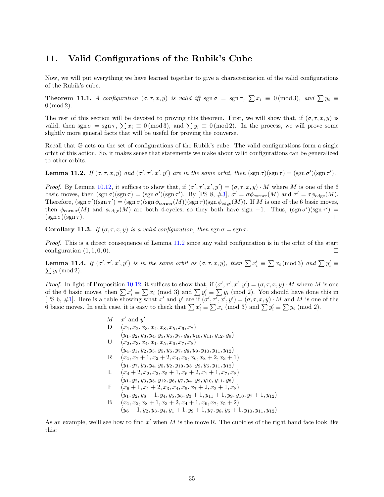## 11. Valid Configurations of the Rubik's Cube

Now, we will put everything we have learned together to give a characterization of the valid configurations of the Rubik's cube.

<span id="page-34-2"></span>**Theorem 11.1.** A configuration  $(\sigma, \tau, x, y)$  is valid iff  $\text{sgn } \sigma = \text{sgn } \tau$ ,  $\sum x_i \equiv 0 \pmod{3}$ , and  $\sum y_i \equiv 1$  $0 \pmod{2}$ .

The rest of this section will be devoted to proving this theorem. First, we will show that, if  $(\sigma, \tau, x, y)$  is valid, then sgn  $\sigma = \text{sgn } \tau$ ,  $\sum x_i \equiv 0 \pmod{3}$ , and  $\sum y_i \equiv 0 \pmod{2}$ . In the process, we will prove some slightly more general facts that will be useful for proving the converse.

Recall that G acts on the set of configurations of the Rubik's cube. The valid configurations form a single orbit of this action. So, it makes sense that statements we make about valid configurations can be generalized to other orbits.

<span id="page-34-0"></span>**Lemma 11.2.** If  $(\sigma, \tau, x, y)$  and  $(\sigma', \tau', x', y')$  are in the same orbit, then  $(\text{sgn }\sigma)(\text{sgn }\tau) = (\text{sgn }\sigma')(\text{sgn }\tau')$ .

*Proof.* By Lemma [10.12,](#page-32-0) it suffices to show that, if  $(\sigma', \tau', x', y') = (\sigma, \tau, x, y) \cdot M$  where M is one of the 6 basic moves, then  $(\text{sgn }\sigma)(\text{sgn }\tau) = (\text{sgn }\sigma')(\text{sgn }\tau')$ . By [PS 8, [#3\]](#page-28-0),  $\sigma' = \sigma\phi_{\text{corner}}(M)$  and  $\tau' = \tau\phi_{\text{edge}}(M)$ . Therefore,  $(\text{sgn }\sigma')(\text{sgn }\tau') = (\text{sgn }\sigma)(\text{sgn }\phi_{\text{corner}}(M))(\text{sgn }\tau)(\text{sgn }\phi_{\text{edge}}(M))$ . If M is one of the 6 basic moves, then  $\phi_{\text{corner}}(M)$  and  $\phi_{\text{edge}}(M)$  are both 4-cycles, so they both have sign -1. Thus,  $(\text{sgn }\sigma)(\text{sgn }\tau')$  =  $(\text{sgn }\sigma)(\text{sgn }\tau).$  $\Box$ 

<span id="page-34-3"></span>Corollary 11.3. If  $(\sigma, \tau, x, y)$  is a valid configuration, then sgn  $\sigma = \text{sgn } \tau$ .

Proof. This is a direct consequence of Lemma [11.2](#page-34-0) since any valid configuration is in the orbit of the start configuration  $(1, 1, 0, 0)$ .  $\Box$ 

<span id="page-34-1"></span>**Lemma 11.4.** If  $(\sigma', \tau', x', y')$  is in the same orbit as  $(\sigma, \tau, x, y)$ , then  $\sum x'_i \equiv \sum x_i \pmod{3}$  and  $\sum y'_i \equiv \sigma^2$  $\sum y_i \, (\text{mod } 2).$ 

*Proof.* In light of Proposition [10.12,](#page-32-0) it suffices to show that, if  $(\sigma', \tau', x', y') = (\sigma, \tau, x, y) \cdot M$  where M is one of the 6 basic moves, then  $\sum x_i' \equiv \sum x_i \pmod{3}$  and  $\sum y_i' \equiv \sum y_i \pmod{2}$ . You should have done this in [PS 6,  $\#1$ ]. Here is a table showing what x' and y' are if  $(\sigma', \tau', x', y') = (\sigma, \tau, x, y) \cdot M$  and M is one of the 6 basic moves. In each case, it is easy to check that  $\sum x_i' \equiv \sum x_i \pmod{3}$  and  $\sum y_i' \equiv \sum y_i \pmod{2}$ .

|    | $x'$ and $y'$                                                                                                                         |
|----|---------------------------------------------------------------------------------------------------------------------------------------|
|    | $(x_1, x_2, x_3, x_4, x_8, x_5, x_6, x_7)$                                                                                            |
|    | $(y_1, y_2, y_3, y_4, y_5, y_6, y_7, y_8, y_{10}, y_{11}, y_{12}, y_9)$                                                               |
|    | $(x_2, x_3, x_4, x_1, x_5, x_6, x_7, x_8)$                                                                                            |
| R. | $(y_4, y_1, y_2, y_3, y_5, y_6, y_7, y_8, y_9, y_{10}, y_{11}, y_{12})$<br>$(x_1, x_7 + 1, x_2 + 2, x_4, x_5, x_6, x_8 + 2, x_3 + 1)$ |
|    | $(y_1, y_7, y_3, y_4, y_5, y_2, y_{10}, y_8, y_9, y_6, y_{11}, y_{12})$                                                               |
|    | $(x_4+2,x_2,x_3,x_5+1,x_6+2,x_1+1,x_7,x_8)$                                                                                           |
|    | $(y_1, y_2, y_3, y_5, y_{12}, y_6, y_7, y_4, y_9, y_{10}, y_{11}, y_8)$                                                               |
|    | $F \mid (x_6+1, x_1+2, x_3, x_4, x_5, x_7+2, x_2+1, x_8)$                                                                             |
|    | $(y_1, y_2, y_8 + 1, y_4, y_5, y_6, y_3 + 1, y_{11} + 1, y_9, y_{10}, y_7 + 1, y_{12})$                                               |
|    | B $(x_1, x_2, x_8 + 1, x_3 + 2, x_4 + 1, x_6, x_7, x_5 + 2)$                                                                          |
|    | $(y_6 + 1, y_2, y_3, y_4, y_1 + 1, y_9 + 1, y_7, y_8, y_5 + 1, y_{10}, y_{11}, y_{12})$                                               |

As an example, we'll see how to find  $x'$  when M is the move R. The cubicles of the right hand face look like this: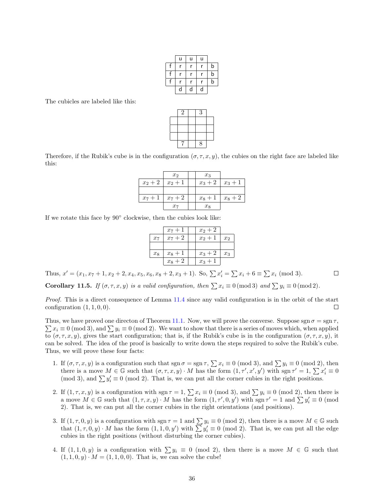|   | u | u | u |   |
|---|---|---|---|---|
| f | r | r | r | b |
| f | r | r | r | b |
| f | r |   | r | b |
|   | d | d | d |   |

The cubicles are labeled like this:

| $\overline{2}$ | $\overline{3}$ |  |
|----------------|----------------|--|
|                |                |  |
|                |                |  |
|                |                |  |
|                | $\overline{8}$ |  |

Therefore, if the Rubik's cube is in the configuration  $(\sigma, \tau, x, y)$ , the cubies on the right face are labeled like this:

|           | x <sub>2</sub> | $x_3$     |           |
|-----------|----------------|-----------|-----------|
| $x_2 + 2$ | $x_2 + 1$      | $x_3 + 2$ | $x_3+1$   |
|           |                |           |           |
| $x_7 + 1$ | $x_7 + 2$      | $x_8 + 1$ | $x_8 + 2$ |
|           | $x_7$          | $x_8$     |           |

If we rotate this face by  $90^{\circ}$  clockwise, then the cubies look like:

|       | $x_7 + 1$ | $x_2 + 2$ |                |
|-------|-----------|-----------|----------------|
| $x_7$ | $x_7 + 2$ | $x_2 + 1$ | x <sub>2</sub> |
|       |           |           |                |
| $x_8$ | $x_8+1$   | $x_3 + 2$ | $x_3$          |
|       | $x_8 + 2$ | $x_3 + 1$ |                |

Thus,  $x' = (x_1, x_7 + 1, x_2 + 2, x_4, x_5, x_6, x_8 + 2, x_3 + 1)$ . So,  $\sum x'_i = \sum x_i + 6 \equiv \sum x_i \pmod{3}$ .  $\Box$ 

Corollary 11.5. If  $(\sigma, \tau, x, y)$  is a valid configuration, then  $\sum x_i \equiv 0 \pmod{3}$  and  $\sum y_i \equiv 0 \pmod{2}$ .

Proof. This is a direct consequence of Lemma [11.4](#page-34-1) since any valid configuration is in the orbit of the start configuration  $(1, 1, 0, 0)$ .  $\Box$ 

 $\sum x_i \equiv 0 \pmod{3}$ , and  $\sum y_i \equiv 0 \pmod{2}$ . We want to show that there is a series of moves which, when applied Thus, we have proved one directon of Theorem [11.1.](#page-34-2) Now, we will prove the converse. Suppose sgn  $\sigma = \text{sgn } \tau$ , to  $(\sigma, \tau, x, y)$ , gives the start configuration; that is, if the Rubik's cube is in the configuration  $(\sigma, \tau, x, y)$ , it can be solved. The idea of the proof is basically to write down the steps required to solve the Rubik's cube. Thus, we will prove these four facts:

- 1. If  $(\sigma, \tau, x, y)$  is a configuration such that sgn  $\sigma = \text{sgn}\,\tau$ ,  $\sum x_i \equiv 0 \pmod{3}$ , and  $\sum y_i \equiv 0 \pmod{2}$ , then there is a move  $M \in \mathbb{G}$  such that  $(\sigma, \tau, x, y) \cdot M$  has the form  $(1, \tau', x', y')$  with  $\text{sgn } \tau' = 1$ ,  $\sum x_i' \equiv 0$ (mod 3), and  $\sum y_i' \equiv 0 \pmod{2}$ . That is, we can put all the corner cubies in the right positions.
- 2. If  $(1, \tau, x, y)$  is a configuration with sgn  $\tau = 1$ ,  $\sum x_i \equiv 0 \pmod{3}$ , and  $\sum y_i \equiv 0 \pmod{2}$ , then there is a move  $M \in \mathbb{G}$  such that  $(1, \tau, x, y) \cdot M$  has the form  $(1, \tau', 0, y')$  with  $\text{sgn } \tau' = 1$  and  $\sum y_i' \equiv 0 \pmod{M}$ 2). That is, we can put all the corner cubies in the right orientations (and positions).
- 3. If  $(1, \tau, 0, y)$  is a configuration with sgn  $\tau = 1$  and  $\sum y_i \equiv 0 \pmod{2}$ , then there is a move  $M \in \mathbb{G}$  such that  $(1, \tau, 0, y) \cdot M$  has the form  $(1, 1, 0, y')$  with  $\sum y_i' \equiv 0 \pmod{2}$ . That is, we can put all the edge cubies in the right positions (without disturbing the corner cubies).
- 4. If  $(1, 1, 0, y)$  is a configuration with  $\sum y_i \equiv 0 \pmod{2}$ , then there is a move  $M \in \mathbb{G}$  such that  $(1, 1, 0, y) \cdot M = (1, 1, 0, 0)$ . That is, we can solve the cube!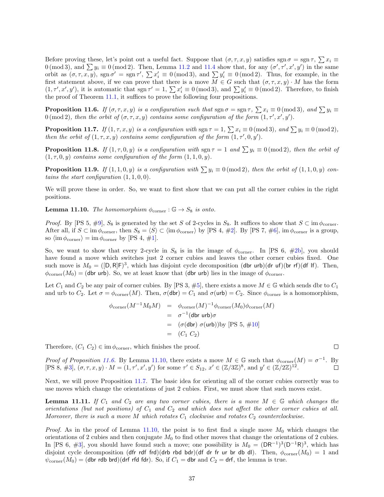Before proving these, let's point out a useful fact. Suppose that  $(\sigma, \tau, x, y)$  satisfies sgn  $\sigma = \text{sgn } \tau$ ,  $\sum x_i \equiv$  $0 \pmod{3}$ , and  $\sum y_i \equiv 0 \pmod{2}$ . Then, Lemma [11.2](#page-34-0) and [11.4](#page-34-1) show that, for any  $(\sigma', \tau', x', y')$  in the same orbit as  $(\sigma, \tau, x, y)$ , sgn  $\sigma' = \text{sgn } \tau'$ ,  $\sum x'_i \equiv 0 \pmod{3}$ , and  $\sum y'_i \equiv 0 \pmod{2}$ . Thus, for example, in the first statement above, if we can prove that there is a move  $\overline{M} \in G$  such that  $(\sigma, \tau, x, y) \cdot M$  has the form  $(1, \tau', x', y')$ , it is automatic that sgn  $\tau' = 1$ ,  $\sum x'_i \equiv 0 \pmod{3}$ , and  $\sum y'_i \equiv 0 \pmod{2}$ . Therefore, to finish the proof of Theorem [11.1,](#page-34-2) it suffices to prove the following four propositions.

<span id="page-36-0"></span>**Proposition 11.6.** If  $(\sigma, \tau, x, y)$  is a configuration such that  $\text{sgn }\sigma = \text{sgn }\tau$ ,  $\sum x_i \equiv 0 \pmod{3}$ , and  $\sum y_i \equiv 0$  $0 \pmod{2}$ , then the orbit of  $(\sigma, \tau, x, y)$  contains some configuration of the form  $(1, \tau', x', y')$ .

<span id="page-36-2"></span>**Proposition 11.7.** If  $(1, \tau, x, y)$  is a configuration with sgn  $\tau = 1$ ,  $\sum x_i \equiv 0 \pmod{3}$ , and  $\sum y_i \equiv 0 \pmod{2}$ , then the orbit of  $(1, \tau, x, y)$  contains some configuration of the form  $(1, \tau', 0, y')$ .

<span id="page-36-5"></span>**Proposition 11.8.** If  $(1, \tau, 0, y)$  is a configuration with sgn  $\tau = 1$  and  $\sum y_i \equiv 0 \pmod{2}$ , then the orbit of  $(1, \tau, 0, y)$  contains some configuration of the form  $(1, 1, 0, y)$ .

<span id="page-36-4"></span>**Proposition 11.9.** If  $(1,1,0,y)$  is a configuration with  $\sum y_i \equiv 0 \pmod{2}$ , then the orbit of  $(1,1,0,y)$  contains the start configuration  $(1, 1, 0, 0)$ .

We will prove these in order. So, we want to first show that we can put all the corner cubies in the right positions.

<span id="page-36-1"></span>**Lemma 11.10.** The homomorphism  $\phi_{\text{corner}} : \mathbb{G} \to S_8$  is onto.

*Proof.* By [PS 5, [#9\]](#page-17-1),  $S_8$  is generated by the set S of 2-cycles in  $S_8$ . It suffices to show that  $S \subset \text{im } \phi_{\text{corner}}$ . After all, if  $S \subset \text{im } \phi_{\text{corner}}$ , then  $S_8 = \langle S \rangle \subset \langle \text{im } \phi_{\text{corner}} \rangle$  by [PS 4, [#2\]](#page-14-1). By [PS 7, [#6\]](#page-25-1), im  $\phi_{\text{corner}}$  is a group, so  $\langle \text{im} \phi_{\text{corner}} \rangle = \text{im} \phi_{\text{corner}}$  by [PS 4, [#1\]](#page-14-2).

So, we want to show that every 2-cycle in  $S_8$  is in the image of  $\phi_{\text{corner}}$ . In [PS 6, [#2b\]](#page-22-0), you should have found a move which switches just 2 corner cubies and leaves the other corner cubies fixed. One such move is  $M_0 = ([D, R]F)^3$ , which has disjoint cycle decomposition (dbr urb)(dr uf)(br rf)(df lf). Then,  $\phi_{\text{corner}}(M_0) =$  (dbr urb). So, we at least know that (dbr urb) lies in the image of  $\phi_{\text{corner}}$ .

Let  $C_1$  and  $C_2$  be any pair of corner cubies. By [PS 3, [#5\]](#page-12-1), there exists a move  $M \in \mathbb{G}$  which sends dbr to  $C_1$ and urb to  $C_2$ . Let  $\sigma = \phi_{\text{corner}}(M)$ . Then,  $\sigma(\text{dbr}) = C_1$  and  $\sigma(\text{urb}) = C_2$ . Since  $\phi_{\text{corner}}$  is a homomorphism,

$$
\phi_{\text{corner}}(M^{-1}M_0M) = \phi_{\text{corner}}(M)^{-1}\phi_{\text{corner}}(M_0)\phi_{\text{corner}}(M)
$$
  
=  $\sigma^{-1}(\text{dbr urb})\sigma$   
=  $(\sigma(\text{dbr}) \sigma(\text{urb}))\text{by [PS 5, #10]}$   
=  $(C_1 C_2)$ 

Therefore,  $(C_1 C_2) \in \text{im } \phi_{\text{corner}}$ , which finishes the proof.

Proof of Proposition [11.6.](#page-36-0) By Lemma [11.10,](#page-36-1) there exists a move  $M \in \mathbb{G}$  such that  $\phi_{\text{corner}}(M) = \sigma^{-1}$ . By [PS 8, [#3\]](#page-28-0),  $(\sigma, \tau, x, y) \cdot M = (1, \tau', x', y')$  for some  $\tau' \in S_{12}$ ,  $x' \in (\mathbb{Z}/3\mathbb{Z})^8$ , and  $y' \in (\mathbb{Z}/2\mathbb{Z})^{12}$ .  $\Box$ 

Next, we will prove Proposition [11.7.](#page-36-2) The basic idea for orienting all of the corner cubies correctly was to use moves which change the orientations of just 2 cubies. First, we must show that such moves exist.

<span id="page-36-3"></span>**Lemma 11.11.** If  $C_1$  and  $C_2$  are any two corner cubies, there is a move  $M \in \mathbb{G}$  which changes the orientations (but not positions) of  $C_1$  and  $C_2$  and which does not affect the other corner cubies at all. Moreover, there is such a move M which rotates  $C_1$  clockwise and rotates  $C_2$  counterclockwise.

*Proof.* As in the proof of Lemma [11.10,](#page-36-1) the point is to first find a single move  $M_0$  which changes the orientations of 2 cubies and then conjugate  $M_0$  to find other moves that change the orientations of 2 cubies. In [PS 6, [#3\]](#page-22-2), you should have found such a move; one possibility is  $M_0 = (DR^{-1})^3 (D^{-1}R)^3$ , which has disjoint cycle decomposition (dfr rdf frd)(drb rbd bdr)(df dr fr ur br db dl). Then,  $\phi_{\text{corner}}(M_0) = 1$  and  $\psi_{\text{corner}}(M_0) = (\text{dbr rdb brd})(\text{drf rfd fdr}).$  So, if  $C_1 = \text{dbr}$  and  $C_2 = \text{drf}$ , the lemma is true.

 $\Box$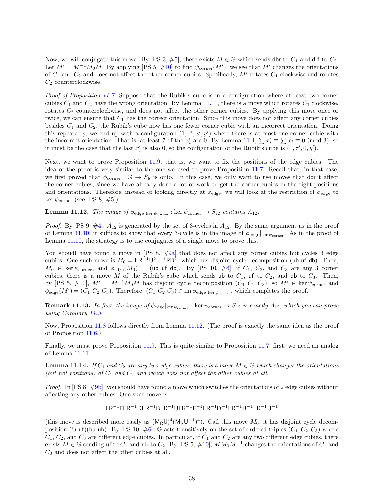Now, we will conjugate this move. By [PS 3, [#5\]](#page-12-1), there exists  $M \in \mathbb{G}$  which sends dbr to  $C_1$  and drf to  $C_2$ . Let  $M' = M^{-1}M_0M$ . By applying [PS 5, [#10\]](#page-17-2) to find  $\psi_{\text{corner}}(M')$ , we see that M' changes the orientations of  $C_1$  and  $C_2$  and does not affect the other corner cubies. Specifically,  $M'$  rotates  $C_1$  clockwise and rotates  $C_2$  counterclockwise.  $\Box$ 

Proof of Proposition [11.7.](#page-36-2) Suppose that the Rubik's cube is in a configuration where at least two corner cubies  $C_1$  and  $C_2$  have the wrong orientation. By Lemma [11.11,](#page-36-3) there is a move which rotates  $C_1$  clockwise, rotates  $C_2$  counterclockwise, and does not affect the other corner cubies. By applying this move once or twice, we can ensure that  $C_1$  has the correct orientation. Since this move does not affect any corner cubies besides  $C_1$  and  $C_2$ , the Rubik's cube now has one fewer corner cubie with an incorrect orientation. Doing this repeatedly, we end up with a configuration  $(1, \tau', x', y')$  where there is at most one corner cubie with the incorrect orientation. That is, at least 7 of the  $x'_i$  are 0. By Lemma [11.4,](#page-34-1)  $\sum x'_i \equiv \sum x_i \equiv 0 \pmod{3}$ , so it must be the case that the last  $x_i'$  is also 0, so the configuration of the Rubik's cube is  $(1, \tau', 0, y')$ .  $\Box$ 

Next, we want to prove Proposition [11.9;](#page-36-4) that is, we want to fix the positions of the edge cubies. The idea of the proof is very similar to the one we used to prove Proposition [11.7.](#page-36-2) Recall that, in that case, we first proved that  $\phi_{\text{corner}} : \mathbb{G} \to S_8$  is onto. In this case, we only want to use moves that don't affect the corner cubies, since we have already done a lot of work to get the corner cubies in the right positions and orientations. Therefore, instead of looking directly at  $\phi_{\text{edge}}$ , we will look at the restriction of  $\phi_{\text{edge}}$  to ker  $\psi_{\text{corner}}$  (see [PS 8,  $\#5$ ]).

<span id="page-37-0"></span>**Lemma 11.12.** The image of  $\phi_{\text{edge}}|_{\text{ker }\psi_{\text{corner}}}$ : ker  $\psi_{\text{corner}} \to S_{12}$  contains  $A_{12}$ .

*Proof.* By [PS 9,  $\#4$ ],  $A_{12}$  is generated by the set of 3-cycles in  $A_{12}$ . By the same argument as in the proof of Lemma [11.10,](#page-36-1) it suffices to show that every 3-cycle is in the image of  $\phi_{\text{edge}}|_{\text{ker }\psi_{\text{corner}}}$ . As in the proof of Lemma [11.10,](#page-36-1) the strategy is to use conjugates of a single move to prove this.

You shoudl have found a move in [PS 8,  $\#9a$ ] that does not affect any corner cubies but cycles 3 edge cubies. One such move is  $M_0 = \mathsf{LR}^{-1} \mathsf{U}^2 \mathsf{L}^{-1} \mathsf{RB}^2$ , which has disjoint cycle decomposition (ub uf db). Then,  $M_0 \in \text{ker } \psi_{\text{corner}}$ , and  $\phi_{\text{edge}}(M_0) = (\text{ub uf db})$ . By [PS 10, [#6\]](#page-33-1), if  $C_1$ ,  $C_2$ , and  $C_3$  are any 3 corner cubies, there is a move M of the Rubik's cube which sends ub to  $C_1$ , uf to  $C_2$ , and db to  $C_3$ . Then, by [PS 5, [#10\]](#page-17-2),  $M' = M^{-1}M_0M$  has disjoint cycle decomposition  $(C_1 C_2 C_3)$ , so  $M' \in \text{ker } \psi_{\text{corner}}$  and  $\phi_{\text{edge}}(M') = (C_1 \ C_2 \ C_3)$ . Therefore,  $(C_1 \ C_2 \ C_3) \in \text{im } \phi_{\text{edge}}|_{\text{ker } \psi_{\text{corner}}}$ , which completes the proof.  $\Box$ 

**Remark 11.13.** In fact, the image of  $\phi_{\text{edge}}|_{\text{ker }\psi_{\text{corner}}}$ : ker  $\psi_{\text{corner}} \to S_{12}$  is exactly  $A_{12}$ , which you can prove using Corollary [11.3.](#page-34-3)

Now, Proposition [11.8](#page-36-5) follows directly from Lemma [11.12.](#page-37-0) (The proof is exactly the same idea as the proof of Proposition [11.6.](#page-36-0))

Finally, we must prove Proposition [11.9.](#page-36-4) This is quite similar to Proposition [11.7;](#page-36-2) first, we need an analog of Lemma [11.11.](#page-36-3)

**Lemma 11.14.** If  $C_1$  and  $C_2$  are any two edge cubies, there is a move  $M \in \mathbb{G}$  which changes the orientations (but not positions) of  $C_1$  and  $C_2$  and which does not affect the other cubies at all.

*Proof.* In  $|PS 8, \#9b|$ , you should have found a move which switches the orientations of 2 edge cubies without affecting any other cubies. One such move is

$$
\mathrm{LR}^{-1}\mathrm{FLR}^{-1}\mathrm{DLR}^{-1}\mathrm{BLR}^{-1}\mathrm{ULR}^{-1}\mathrm{F}^{-1}\mathrm{LR}^{-1}\mathrm{D}^{-1}\mathrm{LR}^{-1}\mathrm{B}^{-1}\mathrm{LR}^{-1}\mathrm{U}^{-1}
$$

(this move is described more easily as  $(M_R U)^4 (M_R U^{-1})^4$ ). Call this move  $M_0$ ; it has disjoint cycle decomposition (fu uf)(bu ub). By [PS 10,  $\#6$ ], G acts transitively on the set of ordered triples  $(C_1, C_2, C_3)$  where  $C_1, C_2$ , and  $C_3$  are different edge cubies. In particular, if  $C_1$  and  $C_2$  are any two different edge cubies, there exists  $M \in \mathbb{G}$  sending uf to  $C_1$  and ub to  $C_2$ . By [PS 5, [#10\]](#page-17-2),  $MM_0M^{-1}$  changes the orientations of  $C_1$  and  $C_2$  and does not affect the other cubies at all. П